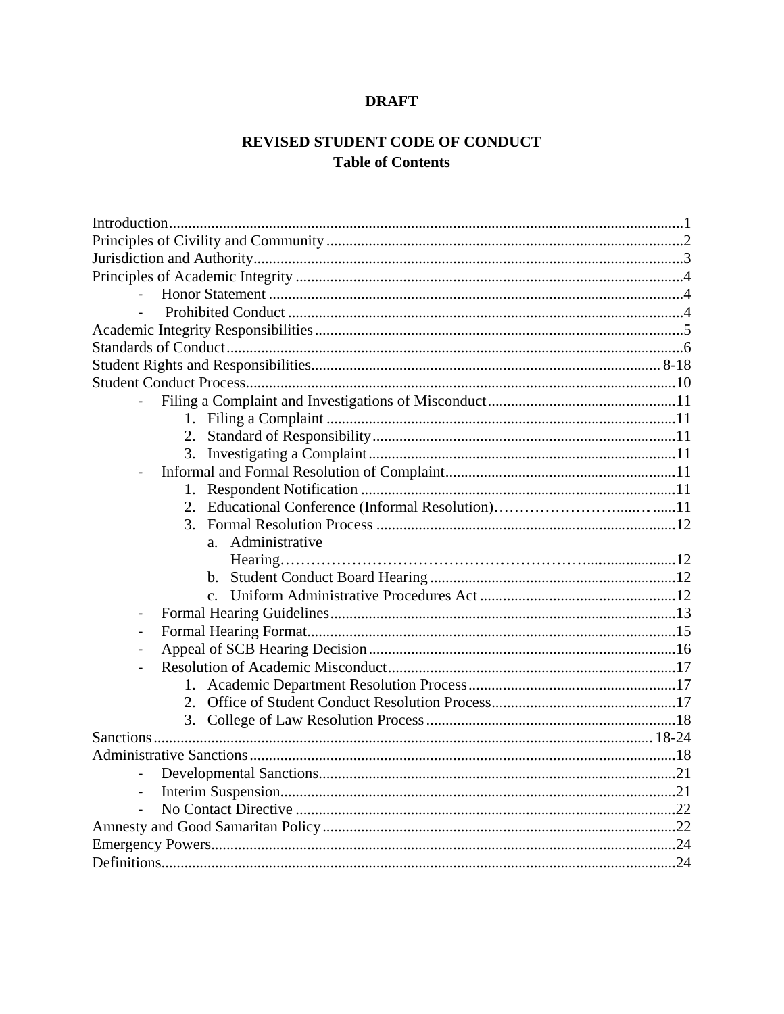# **DRAFT**

# REVISED STUDENT CODE OF CONDUCT **Table of Contents**

| 3.                        |  |
|---------------------------|--|
| Administrative<br>$a_{-}$ |  |
|                           |  |
|                           |  |
|                           |  |
| $\overline{\phantom{0}}$  |  |
| -                         |  |
| $\overline{\phantom{0}}$  |  |
|                           |  |
| 1.                        |  |
| 2.                        |  |
|                           |  |
|                           |  |
|                           |  |
|                           |  |
| $\blacksquare$            |  |
| $\overline{\phantom{a}}$  |  |
|                           |  |
|                           |  |
|                           |  |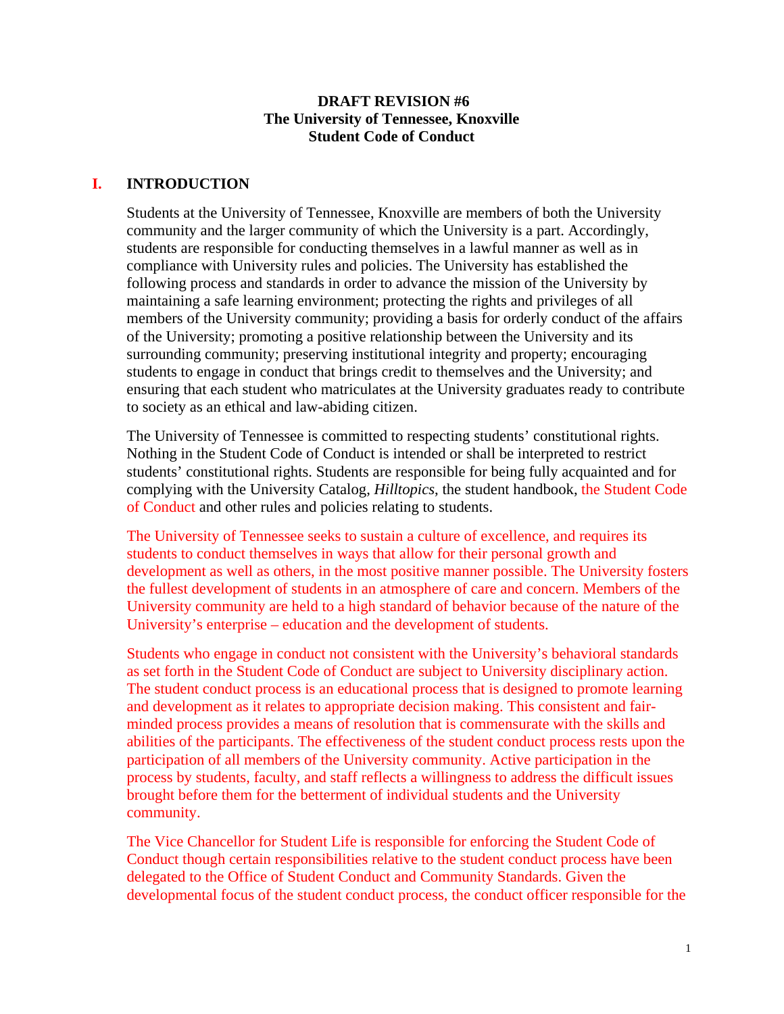#### **DRAFT REVISION #6 The University of Tennessee, Knoxville Student Code of Conduct**

## **I. INTRODUCTION**

Students at the University of Tennessee, Knoxville are members of both the University community and the larger community of which the University is a part. Accordingly, students are responsible for conducting themselves in a lawful manner as well as in compliance with University rules and policies. The University has established the following process and standards in order to advance the mission of the University by maintaining a safe learning environment; protecting the rights and privileges of all members of the University community; providing a basis for orderly conduct of the affairs of the University; promoting a positive relationship between the University and its surrounding community; preserving institutional integrity and property; encouraging students to engage in conduct that brings credit to themselves and the University; and ensuring that each student who matriculates at the University graduates ready to contribute to society as an ethical and law-abiding citizen.

The University of Tennessee is committed to respecting students' constitutional rights. Nothing in the Student Code of Conduct is intended or shall be interpreted to restrict students' constitutional rights. Students are responsible for being fully acquainted and for complying with the University Catalog, *Hilltopics*, the student handbook, the Student Code of Conduct and other rules and policies relating to students.

The University of Tennessee seeks to sustain a culture of excellence, and requires its students to conduct themselves in ways that allow for their personal growth and development as well as others, in the most positive manner possible. The University fosters the fullest development of students in an atmosphere of care and concern. Members of the University community are held to a high standard of behavior because of the nature of the University's enterprise – education and the development of students.

Students who engage in conduct not consistent with the University's behavioral standards as set forth in the Student Code of Conduct are subject to University disciplinary action. The student conduct process is an educational process that is designed to promote learning and development as it relates to appropriate decision making. This consistent and fairminded process provides a means of resolution that is commensurate with the skills and abilities of the participants. The effectiveness of the student conduct process rests upon the participation of all members of the University community. Active participation in the process by students, faculty, and staff reflects a willingness to address the difficult issues brought before them for the betterment of individual students and the University community.

The Vice Chancellor for Student Life is responsible for enforcing the Student Code of Conduct though certain responsibilities relative to the student conduct process have been delegated to the Office of Student Conduct and Community Standards. Given the developmental focus of the student conduct process, the conduct officer responsible for the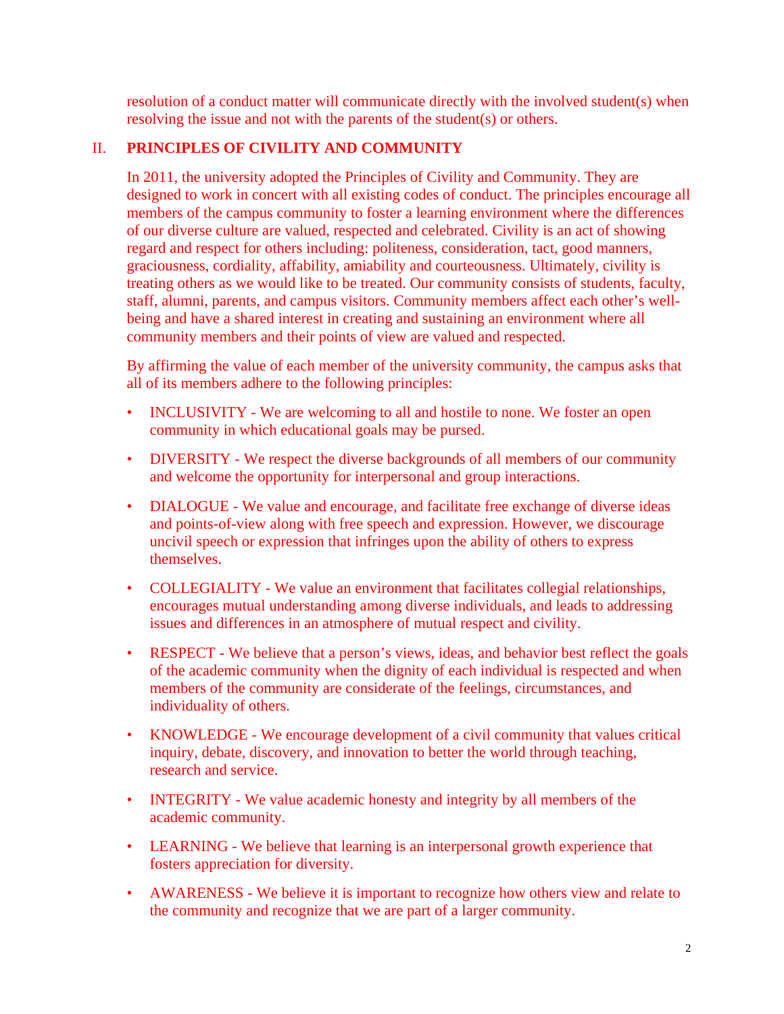resolution of a conduct matter will communicate directly with the involved student(s) when resolving the issue and not with the parents of the student(s) or others.

# II. **PRINCIPLES OF CIVILITY AND COMMUNITY**

In 2011, the university adopted the Principles of Civility and Community. They are designed to work in concert with all existing codes of conduct. The principles encourage all members of the campus community to foster a learning environment where the differences of our diverse culture are valued, respected and celebrated. Civility is an act of showing regard and respect for others including: politeness, consideration, tact, good manners, graciousness, cordiality, affability, amiability and courteousness. Ultimately, civility is treating others as we would like to be treated. Our community consists of students, faculty, staff, alumni, parents, and campus visitors. Community members affect each other's wellbeing and have a shared interest in creating and sustaining an environment where all community members and their points of view are valued and respected.

By affirming the value of each member of the university community, the campus asks that all of its members adhere to the following principles:

- INCLUSIVITY We are welcoming to all and hostile to none. We foster an open community in which educational goals may be pursed.
- DIVERSITY We respect the diverse backgrounds of all members of our community and welcome the opportunity for interpersonal and group interactions.
- DIALOGUE We value and encourage, and facilitate free exchange of diverse ideas and points-of-view along with free speech and expression. However, we discourage uncivil speech or expression that infringes upon the ability of others to express themselves.
- COLLEGIALITY We value an environment that facilitates collegial relationships, encourages mutual understanding among diverse individuals, and leads to addressing issues and differences in an atmosphere of mutual respect and civility.
- RESPECT We believe that a person's views, ideas, and behavior best reflect the goals of the academic community when the dignity of each individual is respected and when members of the community are considerate of the feelings, circumstances, and individuality of others.
- KNOWLEDGE We encourage development of a civil community that values critical inquiry, debate, discovery, and innovation to better the world through teaching, research and service.
- INTEGRITY We value academic honesty and integrity by all members of the academic community.
- LEARNING We believe that learning is an interpersonal growth experience that fosters appreciation for diversity.
- AWARENESS We believe it is important to recognize how others view and relate to the community and recognize that we are part of a larger community.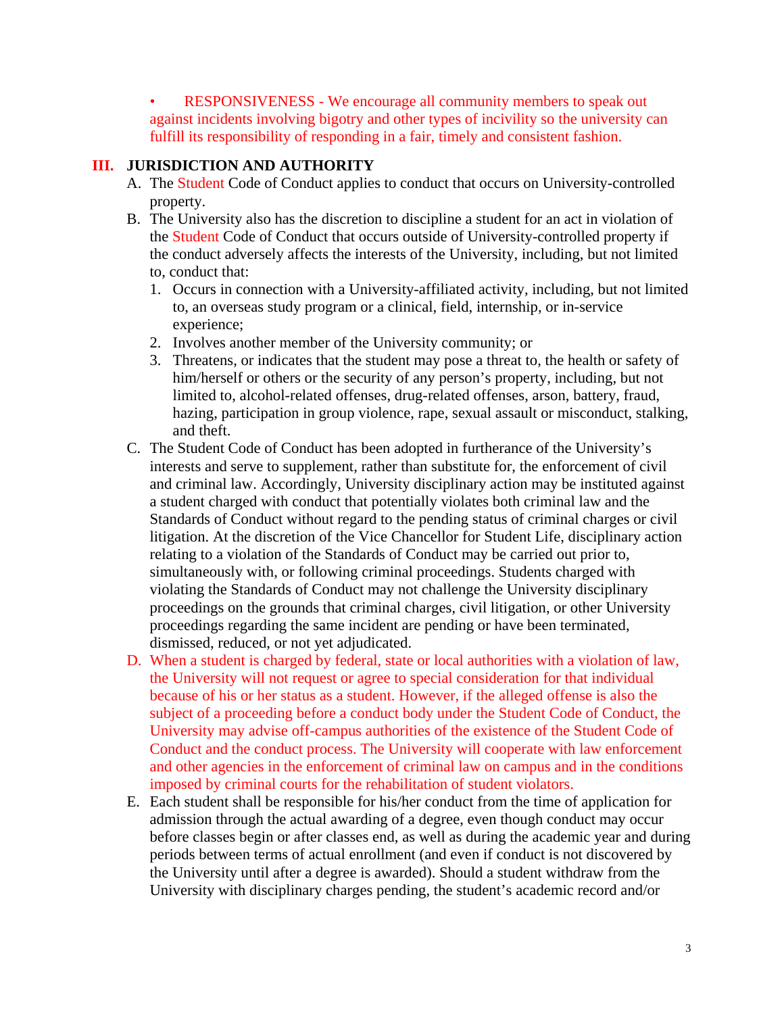• RESPONSIVENESS - We encourage all community members to speak out against incidents involving bigotry and other types of incivility so the university can fulfill its responsibility of responding in a fair, timely and consistent fashion.

# **III. JURISDICTION AND AUTHORITY**

- A. The Student Code of Conduct applies to conduct that occurs on University-controlled property.
- B. The University also has the discretion to discipline a student for an act in violation of the Student Code of Conduct that occurs outside of University-controlled property if the conduct adversely affects the interests of the University, including, but not limited to, conduct that:
	- 1. Occurs in connection with a University-affiliated activity, including, but not limited to, an overseas study program or a clinical, field, internship, or in-service experience;
	- 2. Involves another member of the University community; or
	- 3. Threatens, or indicates that the student may pose a threat to, the health or safety of him/herself or others or the security of any person's property, including, but not limited to, alcohol-related offenses, drug-related offenses, arson, battery, fraud, hazing, participation in group violence, rape, sexual assault or misconduct, stalking, and theft.
- C. The Student Code of Conduct has been adopted in furtherance of the University's interests and serve to supplement, rather than substitute for, the enforcement of civil and criminal law. Accordingly, University disciplinary action may be instituted against a student charged with conduct that potentially violates both criminal law and the Standards of Conduct without regard to the pending status of criminal charges or civil litigation. At the discretion of the Vice Chancellor for Student Life, disciplinary action relating to a violation of the Standards of Conduct may be carried out prior to, simultaneously with, or following criminal proceedings. Students charged with violating the Standards of Conduct may not challenge the University disciplinary proceedings on the grounds that criminal charges, civil litigation, or other University proceedings regarding the same incident are pending or have been terminated, dismissed, reduced, or not yet adjudicated.
- D. When a student is charged by federal, state or local authorities with a violation of law, the University will not request or agree to special consideration for that individual because of his or her status as a student. However, if the alleged offense is also the subject of a proceeding before a conduct body under the Student Code of Conduct, the University may advise off-campus authorities of the existence of the Student Code of Conduct and the conduct process. The University will cooperate with law enforcement and other agencies in the enforcement of criminal law on campus and in the conditions imposed by criminal courts for the rehabilitation of student violators.
- E. Each student shall be responsible for his/her conduct from the time of application for admission through the actual awarding of a degree, even though conduct may occur before classes begin or after classes end, as well as during the academic year and during periods between terms of actual enrollment (and even if conduct is not discovered by the University until after a degree is awarded). Should a student withdraw from the University with disciplinary charges pending, the student's academic record and/or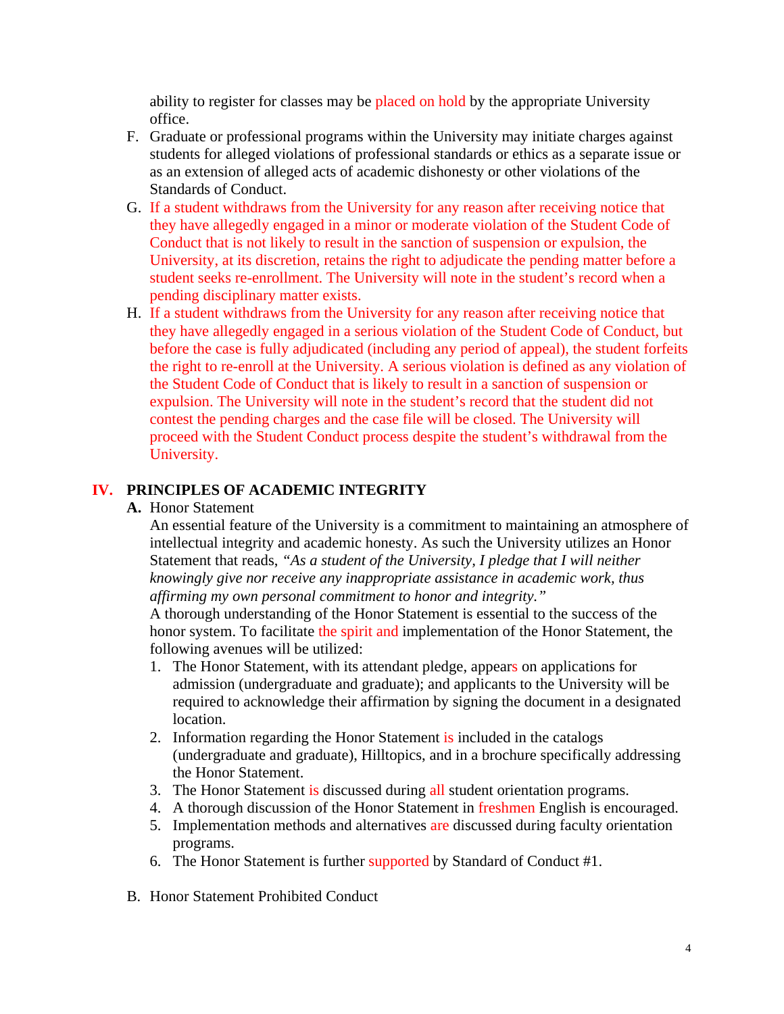ability to register for classes may be placed on hold by the appropriate University office.

- F. Graduate or professional programs within the University may initiate charges against students for alleged violations of professional standards or ethics as a separate issue or as an extension of alleged acts of academic dishonesty or other violations of the Standards of Conduct.
- G. If a student withdraws from the University for any reason after receiving notice that they have allegedly engaged in a minor or moderate violation of the Student Code of Conduct that is not likely to result in the sanction of suspension or expulsion, the University, at its discretion, retains the right to adjudicate the pending matter before a student seeks re-enrollment. The University will note in the student's record when a pending disciplinary matter exists.
- H. If a student withdraws from the University for any reason after receiving notice that they have allegedly engaged in a serious violation of the Student Code of Conduct, but before the case is fully adjudicated (including any period of appeal), the student forfeits the right to re-enroll at the University. A serious violation is defined as any violation of the Student Code of Conduct that is likely to result in a sanction of suspension or expulsion. The University will note in the student's record that the student did not contest the pending charges and the case file will be closed. The University will proceed with the Student Conduct process despite the student's withdrawal from the University.

## **IV. PRINCIPLES OF ACADEMIC INTEGRITY**

**A.** Honor Statement

An essential feature of the University is a commitment to maintaining an atmosphere of intellectual integrity and academic honesty. As such the University utilizes an Honor Statement that reads, *"As a student of the University, I pledge that I will neither knowingly give nor receive any inappropriate assistance in academic work, thus affirming my own personal commitment to honor and integrity."* 

A thorough understanding of the Honor Statement is essential to the success of the honor system. To facilitate the spirit and implementation of the Honor Statement, the following avenues will be utilized:

- 1. The Honor Statement, with its attendant pledge, appears on applications for admission (undergraduate and graduate); and applicants to the University will be required to acknowledge their affirmation by signing the document in a designated location.
- 2. Information regarding the Honor Statement is included in the catalogs (undergraduate and graduate), Hilltopics, and in a brochure specifically addressing the Honor Statement.
- 3. The Honor Statement is discussed during all student orientation programs.
- 4. A thorough discussion of the Honor Statement in freshmen English is encouraged.
- 5. Implementation methods and alternatives are discussed during faculty orientation programs.
- 6. The Honor Statement is further supported by Standard of Conduct #1.
- B. Honor Statement Prohibited Conduct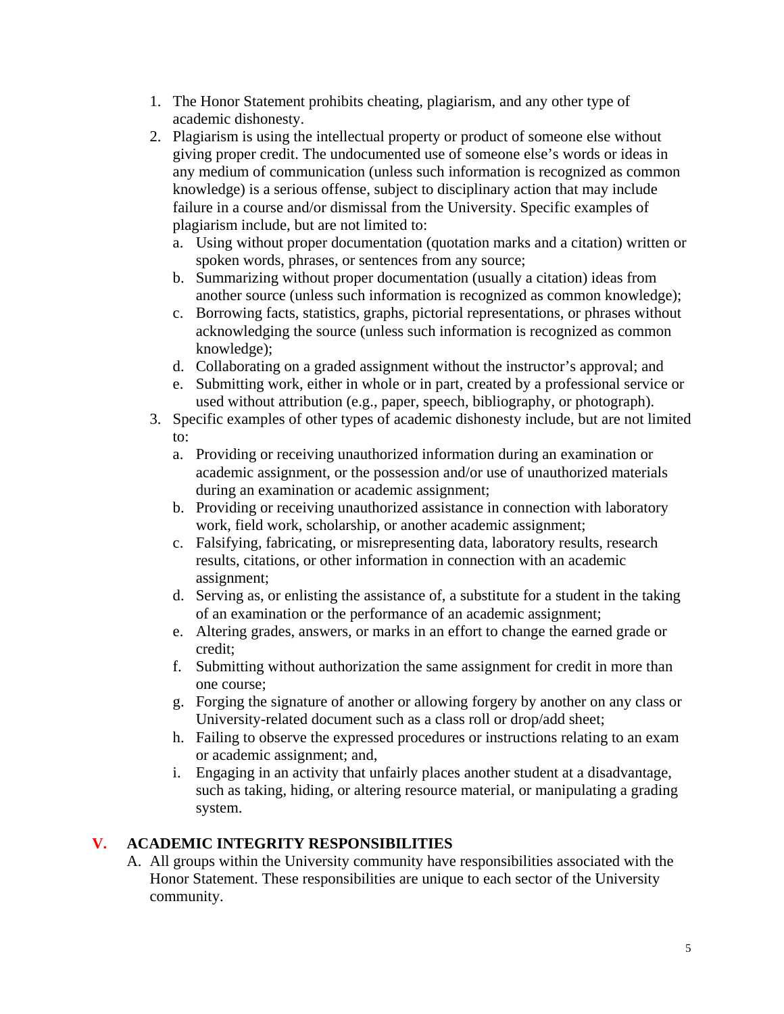- 1. The Honor Statement prohibits cheating, plagiarism, and any other type of academic dishonesty.
- 2. Plagiarism is using the intellectual property or product of someone else without giving proper credit. The undocumented use of someone else's words or ideas in any medium of communication (unless such information is recognized as common knowledge) is a serious offense, subject to disciplinary action that may include failure in a course and/or dismissal from the University. Specific examples of plagiarism include, but are not limited to:
	- a. Using without proper documentation (quotation marks and a citation) written or spoken words, phrases, or sentences from any source;
	- b. Summarizing without proper documentation (usually a citation) ideas from another source (unless such information is recognized as common knowledge);
	- c. Borrowing facts, statistics, graphs, pictorial representations, or phrases without acknowledging the source (unless such information is recognized as common knowledge);
	- d. Collaborating on a graded assignment without the instructor's approval; and
	- e. Submitting work, either in whole or in part, created by a professional service or used without attribution (e.g., paper, speech, bibliography, or photograph).
- 3. Specific examples of other types of academic dishonesty include, but are not limited to:
	- a. Providing or receiving unauthorized information during an examination or academic assignment, or the possession and/or use of unauthorized materials during an examination or academic assignment;
	- b. Providing or receiving unauthorized assistance in connection with laboratory work, field work, scholarship, or another academic assignment;
	- c. Falsifying, fabricating, or misrepresenting data, laboratory results, research results, citations, or other information in connection with an academic assignment;
	- d. Serving as, or enlisting the assistance of, a substitute for a student in the taking of an examination or the performance of an academic assignment;
	- e. Altering grades, answers, or marks in an effort to change the earned grade or credit;
	- f. Submitting without authorization the same assignment for credit in more than one course;
	- g. Forging the signature of another or allowing forgery by another on any class or University-related document such as a class roll or drop/add sheet;
	- h. Failing to observe the expressed procedures or instructions relating to an exam or academic assignment; and,
	- i. Engaging in an activity that unfairly places another student at a disadvantage, such as taking, hiding, or altering resource material, or manipulating a grading system.

## **V. ACADEMIC INTEGRITY RESPONSIBILITIES**

A. All groups within the University community have responsibilities associated with the Honor Statement. These responsibilities are unique to each sector of the University community.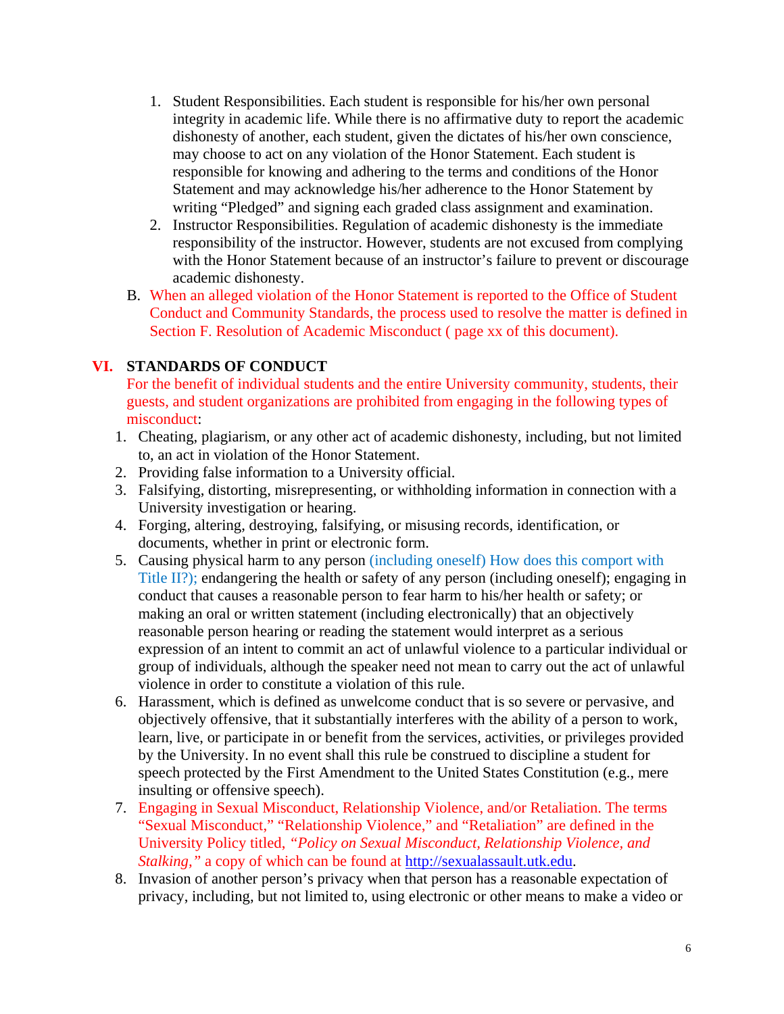- 1. Student Responsibilities. Each student is responsible for his/her own personal integrity in academic life. While there is no affirmative duty to report the academic dishonesty of another, each student, given the dictates of his/her own conscience, may choose to act on any violation of the Honor Statement. Each student is responsible for knowing and adhering to the terms and conditions of the Honor Statement and may acknowledge his/her adherence to the Honor Statement by writing "Pledged" and signing each graded class assignment and examination.
- 2. Instructor Responsibilities. Regulation of academic dishonesty is the immediate responsibility of the instructor. However, students are not excused from complying with the Honor Statement because of an instructor's failure to prevent or discourage academic dishonesty.
- B. When an alleged violation of the Honor Statement is reported to the Office of Student Conduct and Community Standards, the process used to resolve the matter is defined in Section F. Resolution of Academic Misconduct ( page xx of this document).

## **VI. STANDARDS OF CONDUCT**

For the benefit of individual students and the entire University community, students, their guests, and student organizations are prohibited from engaging in the following types of misconduct:

- 1. Cheating, plagiarism, or any other act of academic dishonesty, including, but not limited to, an act in violation of the Honor Statement.
- 2. Providing false information to a University official.
- 3. Falsifying, distorting, misrepresenting, or withholding information in connection with a University investigation or hearing.
- 4. Forging, altering, destroying, falsifying, or misusing records, identification, or documents, whether in print or electronic form.
- 5. Causing physical harm to any person (including oneself) How does this comport with Title II?); endangering the health or safety of any person (including oneself); engaging in conduct that causes a reasonable person to fear harm to his/her health or safety; or making an oral or written statement (including electronically) that an objectively reasonable person hearing or reading the statement would interpret as a serious expression of an intent to commit an act of unlawful violence to a particular individual or group of individuals, although the speaker need not mean to carry out the act of unlawful violence in order to constitute a violation of this rule.
- 6. Harassment, which is defined as unwelcome conduct that is so severe or pervasive, and objectively offensive, that it substantially interferes with the ability of a person to work, learn, live, or participate in or benefit from the services, activities, or privileges provided by the University. In no event shall this rule be construed to discipline a student for speech protected by the First Amendment to the United States Constitution (e.g., mere insulting or offensive speech).
- 7. Engaging in Sexual Misconduct, Relationship Violence, and/or Retaliation. The terms "Sexual Misconduct," "Relationship Violence," and "Retaliation" are defined in the University Policy titled, *"Policy on Sexual Misconduct, Relationship Violence, and Stalking*," a copy of which can be found at http://sexualassault.utk.edu.
- 8. Invasion of another person's privacy when that person has a reasonable expectation of privacy, including, but not limited to, using electronic or other means to make a video or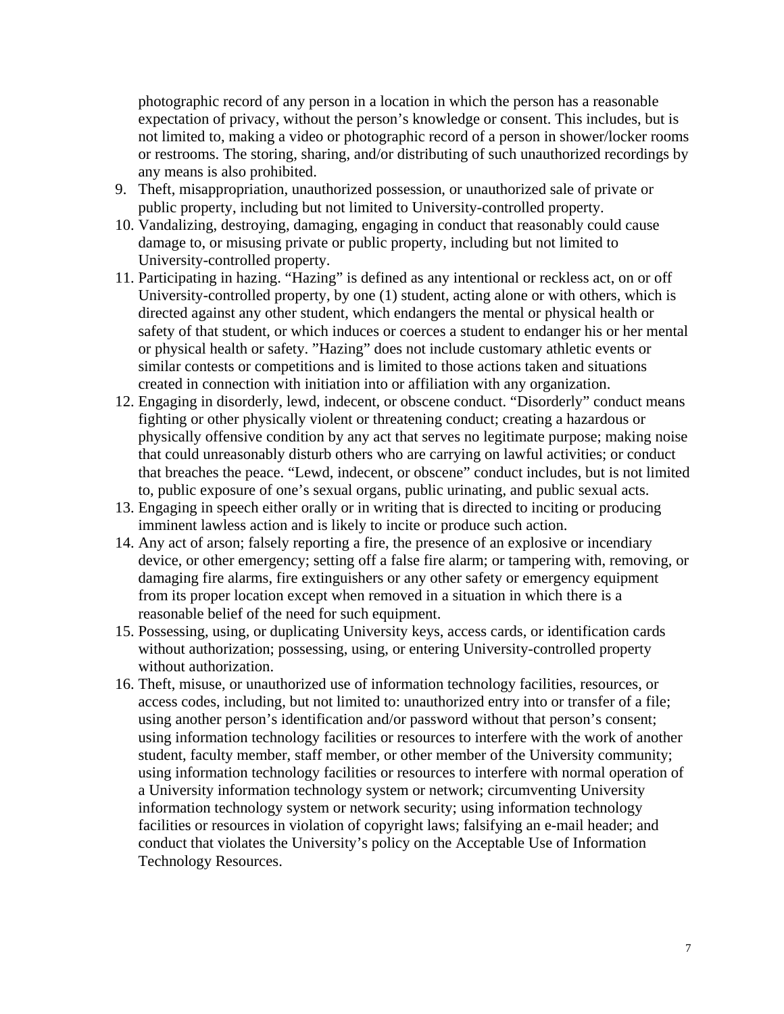photographic record of any person in a location in which the person has a reasonable expectation of privacy, without the person's knowledge or consent. This includes, but is not limited to, making a video or photographic record of a person in shower/locker rooms or restrooms. The storing, sharing, and/or distributing of such unauthorized recordings by any means is also prohibited.

- 9. Theft, misappropriation, unauthorized possession, or unauthorized sale of private or public property, including but not limited to University-controlled property.
- 10. Vandalizing, destroying, damaging, engaging in conduct that reasonably could cause damage to, or misusing private or public property, including but not limited to University-controlled property.
- 11. Participating in hazing. "Hazing" is defined as any intentional or reckless act, on or off University-controlled property, by one (1) student, acting alone or with others, which is directed against any other student, which endangers the mental or physical health or safety of that student, or which induces or coerces a student to endanger his or her mental or physical health or safety. "Hazing" does not include customary athletic events or similar contests or competitions and is limited to those actions taken and situations created in connection with initiation into or affiliation with any organization.
- 12. Engaging in disorderly, lewd, indecent, or obscene conduct. "Disorderly" conduct means fighting or other physically violent or threatening conduct; creating a hazardous or physically offensive condition by any act that serves no legitimate purpose; making noise that could unreasonably disturb others who are carrying on lawful activities; or conduct that breaches the peace. "Lewd, indecent, or obscene" conduct includes, but is not limited to, public exposure of one's sexual organs, public urinating, and public sexual acts.
- 13. Engaging in speech either orally or in writing that is directed to inciting or producing imminent lawless action and is likely to incite or produce such action.
- 14. Any act of arson; falsely reporting a fire, the presence of an explosive or incendiary device, or other emergency; setting off a false fire alarm; or tampering with, removing, or damaging fire alarms, fire extinguishers or any other safety or emergency equipment from its proper location except when removed in a situation in which there is a reasonable belief of the need for such equipment.
- 15. Possessing, using, or duplicating University keys, access cards, or identification cards without authorization; possessing, using, or entering University-controlled property without authorization.
- 16. Theft, misuse, or unauthorized use of information technology facilities, resources, or access codes, including, but not limited to: unauthorized entry into or transfer of a file; using another person's identification and/or password without that person's consent; using information technology facilities or resources to interfere with the work of another student, faculty member, staff member, or other member of the University community; using information technology facilities or resources to interfere with normal operation of a University information technology system or network; circumventing University information technology system or network security; using information technology facilities or resources in violation of copyright laws; falsifying an e-mail header; and conduct that violates the University's policy on the Acceptable Use of Information Technology Resources.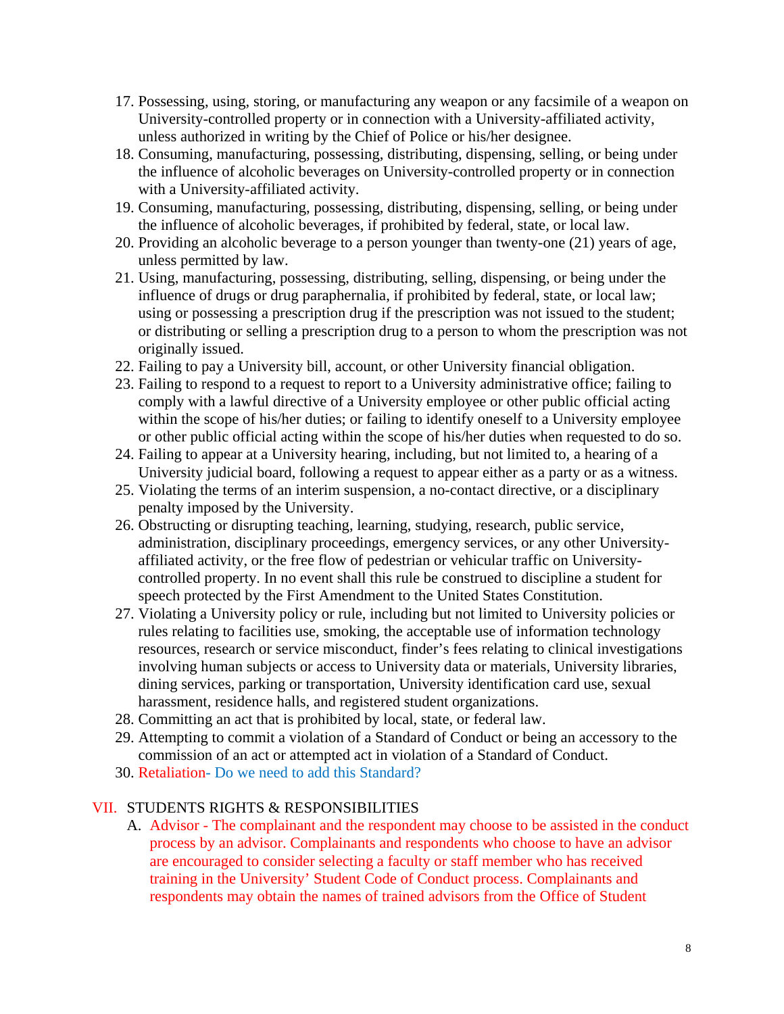- 17. Possessing, using, storing, or manufacturing any weapon or any facsimile of a weapon on University-controlled property or in connection with a University-affiliated activity, unless authorized in writing by the Chief of Police or his/her designee.
- 18. Consuming, manufacturing, possessing, distributing, dispensing, selling, or being under the influence of alcoholic beverages on University-controlled property or in connection with a University-affiliated activity.
- 19. Consuming, manufacturing, possessing, distributing, dispensing, selling, or being under the influence of alcoholic beverages, if prohibited by federal, state, or local law.
- 20. Providing an alcoholic beverage to a person younger than twenty-one (21) years of age, unless permitted by law.
- 21. Using, manufacturing, possessing, distributing, selling, dispensing, or being under the influence of drugs or drug paraphernalia, if prohibited by federal, state, or local law; using or possessing a prescription drug if the prescription was not issued to the student; or distributing or selling a prescription drug to a person to whom the prescription was not originally issued.
- 22. Failing to pay a University bill, account, or other University financial obligation.
- 23. Failing to respond to a request to report to a University administrative office; failing to comply with a lawful directive of a University employee or other public official acting within the scope of his/her duties; or failing to identify oneself to a University employee or other public official acting within the scope of his/her duties when requested to do so.
- 24. Failing to appear at a University hearing, including, but not limited to, a hearing of a University judicial board, following a request to appear either as a party or as a witness.
- 25. Violating the terms of an interim suspension, a no-contact directive, or a disciplinary penalty imposed by the University.
- 26. Obstructing or disrupting teaching, learning, studying, research, public service, administration, disciplinary proceedings, emergency services, or any other Universityaffiliated activity, or the free flow of pedestrian or vehicular traffic on Universitycontrolled property. In no event shall this rule be construed to discipline a student for speech protected by the First Amendment to the United States Constitution.
- 27. Violating a University policy or rule, including but not limited to University policies or rules relating to facilities use, smoking, the acceptable use of information technology resources, research or service misconduct, finder's fees relating to clinical investigations involving human subjects or access to University data or materials, University libraries, dining services, parking or transportation, University identification card use, sexual harassment, residence halls, and registered student organizations.
- 28. Committing an act that is prohibited by local, state, or federal law.
- 29. Attempting to commit a violation of a Standard of Conduct or being an accessory to the commission of an act or attempted act in violation of a Standard of Conduct.
- 30. Retaliation- Do we need to add this Standard?

# VII. STUDENTS RIGHTS & RESPONSIBILITIES

A. Advisor - The complainant and the respondent may choose to be assisted in the conduct process by an advisor. Complainants and respondents who choose to have an advisor are encouraged to consider selecting a faculty or staff member who has received training in the University' Student Code of Conduct process. Complainants and respondents may obtain the names of trained advisors from the Office of Student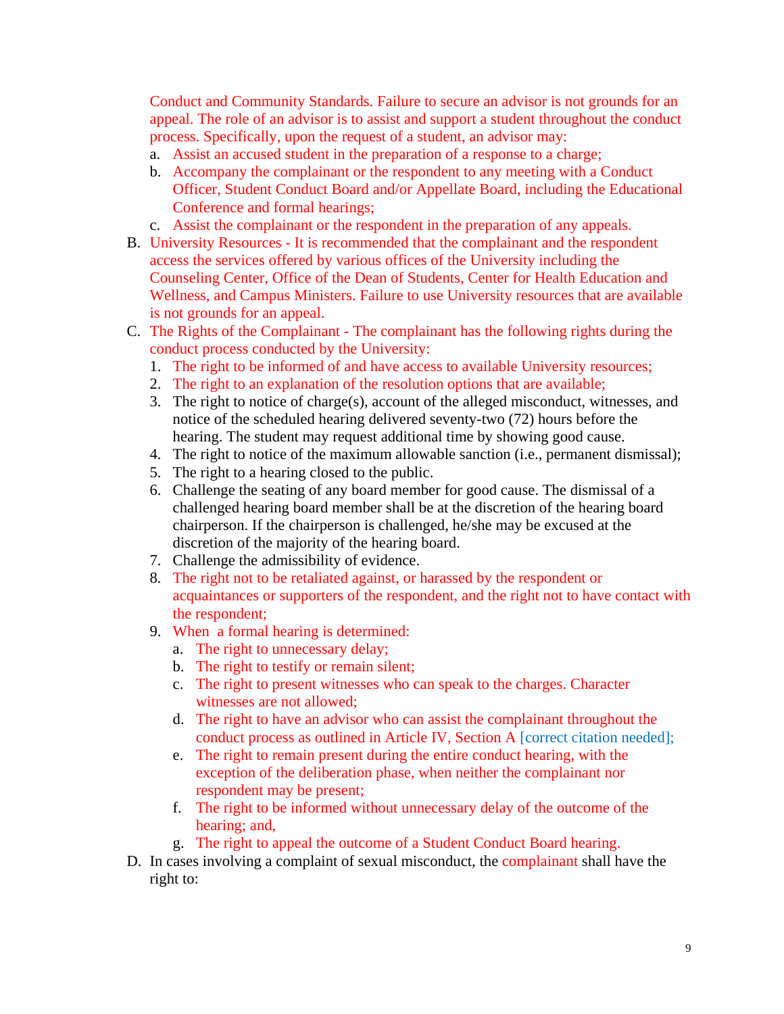Conduct and Community Standards. Failure to secure an advisor is not grounds for an appeal. The role of an advisor is to assist and support a student throughout the conduct process. Specifically, upon the request of a student, an advisor may:

- a. Assist an accused student in the preparation of a response to a charge;
- b. Accompany the complainant or the respondent to any meeting with a Conduct Officer, Student Conduct Board and/or Appellate Board, including the Educational Conference and formal hearings;
- c. Assist the complainant or the respondent in the preparation of any appeals.
- B. University Resources It is recommended that the complainant and the respondent access the services offered by various offices of the University including the Counseling Center, Office of the Dean of Students, Center for Health Education and Wellness, and Campus Ministers. Failure to use University resources that are available is not grounds for an appeal.
- C. The Rights of the Complainant The complainant has the following rights during the conduct process conducted by the University:
	- 1. The right to be informed of and have access to available University resources;
	- 2. The right to an explanation of the resolution options that are available;
	- 3. The right to notice of charge(s), account of the alleged misconduct, witnesses, and notice of the scheduled hearing delivered seventy-two (72) hours before the hearing. The student may request additional time by showing good cause.
	- 4. The right to notice of the maximum allowable sanction (i.e., permanent dismissal);
	- 5. The right to a hearing closed to the public.
	- 6. Challenge the seating of any board member for good cause. The dismissal of a challenged hearing board member shall be at the discretion of the hearing board chairperson. If the chairperson is challenged, he/she may be excused at the discretion of the majority of the hearing board.
	- 7. Challenge the admissibility of evidence.
	- 8. The right not to be retaliated against, or harassed by the respondent or acquaintances or supporters of the respondent, and the right not to have contact with the respondent;
	- 9. When a formal hearing is determined:
		- a. The right to unnecessary delay;
		- b. The right to testify or remain silent;
		- c. The right to present witnesses who can speak to the charges. Character witnesses are not allowed;
		- d. The right to have an advisor who can assist the complainant throughout the conduct process as outlined in Article IV, Section A [correct citation needed];
		- e. The right to remain present during the entire conduct hearing, with the exception of the deliberation phase, when neither the complainant nor respondent may be present;
		- f. The right to be informed without unnecessary delay of the outcome of the hearing; and,
		- g. The right to appeal the outcome of a Student Conduct Board hearing.
- D. In cases involving a complaint of sexual misconduct, the complainant shall have the right to: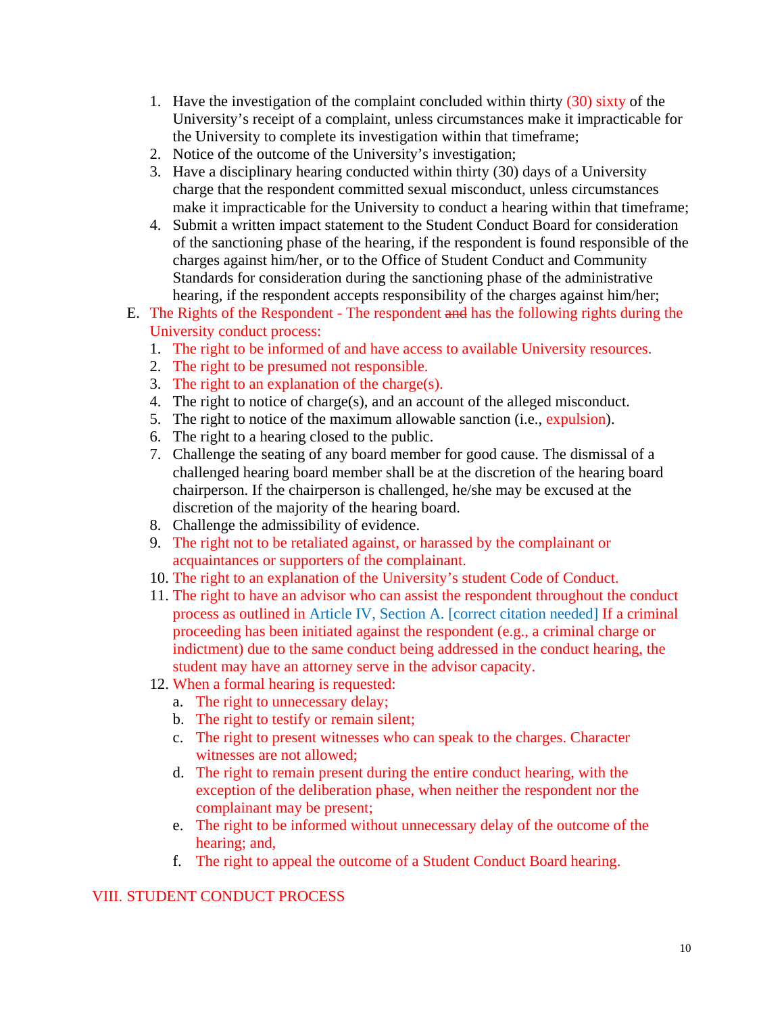- 1. Have the investigation of the complaint concluded within thirty (30) sixty of the University's receipt of a complaint, unless circumstances make it impracticable for the University to complete its investigation within that timeframe;
- 2. Notice of the outcome of the University's investigation;
- 3. Have a disciplinary hearing conducted within thirty (30) days of a University charge that the respondent committed sexual misconduct, unless circumstances make it impracticable for the University to conduct a hearing within that timeframe;
- 4. Submit a written impact statement to the Student Conduct Board for consideration of the sanctioning phase of the hearing, if the respondent is found responsible of the charges against him/her, or to the Office of Student Conduct and Community Standards for consideration during the sanctioning phase of the administrative hearing, if the respondent accepts responsibility of the charges against him/her;
- E. The Rights of the Respondent The respondent and has the following rights during the University conduct process:
	- 1. The right to be informed of and have access to available University resources.
	- 2. The right to be presumed not responsible.
	- 3. The right to an explanation of the charge(s).
	- 4. The right to notice of charge(s), and an account of the alleged misconduct.
	- 5. The right to notice of the maximum allowable sanction (i.e., expulsion).
	- 6. The right to a hearing closed to the public.
	- 7. Challenge the seating of any board member for good cause. The dismissal of a challenged hearing board member shall be at the discretion of the hearing board chairperson. If the chairperson is challenged, he/she may be excused at the discretion of the majority of the hearing board.
	- 8. Challenge the admissibility of evidence.
	- 9. The right not to be retaliated against, or harassed by the complainant or acquaintances or supporters of the complainant.
	- 10. The right to an explanation of the University's student Code of Conduct.
	- 11. The right to have an advisor who can assist the respondent throughout the conduct process as outlined in Article IV, Section A. [correct citation needed] If a criminal proceeding has been initiated against the respondent (e.g., a criminal charge or indictment) due to the same conduct being addressed in the conduct hearing, the student may have an attorney serve in the advisor capacity.
	- 12. When a formal hearing is requested:
		- a. The right to unnecessary delay;
		- b. The right to testify or remain silent;
		- c. The right to present witnesses who can speak to the charges. Character witnesses are not allowed;
		- d. The right to remain present during the entire conduct hearing, with the exception of the deliberation phase, when neither the respondent nor the complainant may be present;
		- e. The right to be informed without unnecessary delay of the outcome of the hearing; and,
		- f. The right to appeal the outcome of a Student Conduct Board hearing.

# VIII. STUDENT CONDUCT PROCESS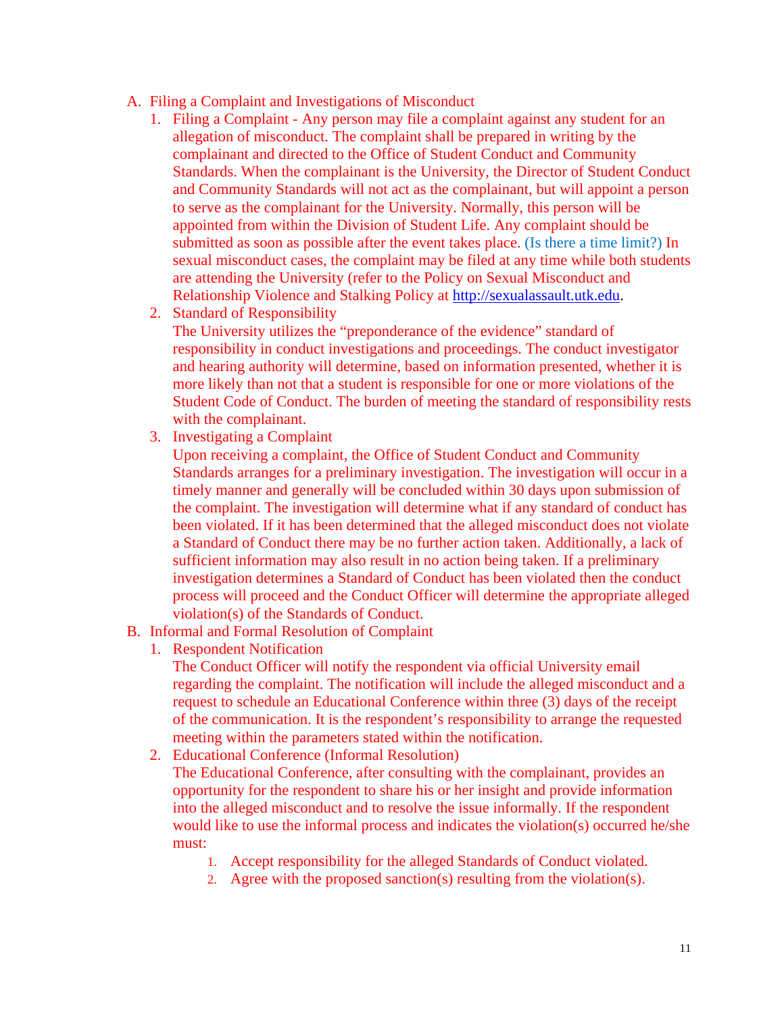- A. Filing a Complaint and Investigations of Misconduct
	- 1. Filing a Complaint Any person may file a complaint against any student for an allegation of misconduct. The complaint shall be prepared in writing by the complainant and directed to the Office of Student Conduct and Community Standards. When the complainant is the University, the Director of Student Conduct and Community Standards will not act as the complainant, but will appoint a person to serve as the complainant for the University. Normally, this person will be appointed from within the Division of Student Life. Any complaint should be submitted as soon as possible after the event takes place. (Is there a time limit?) In sexual misconduct cases, the complaint may be filed at any time while both students are attending the University (refer to the Policy on Sexual Misconduct and Relationship Violence and Stalking Policy at http://sexualassault.utk.edu.
	- 2. Standard of Responsibility

The University utilizes the "preponderance of the evidence" standard of responsibility in conduct investigations and proceedings. The conduct investigator and hearing authority will determine, based on information presented, whether it is more likely than not that a student is responsible for one or more violations of the Student Code of Conduct. The burden of meeting the standard of responsibility rests with the complainant.

3. Investigating a Complaint

Upon receiving a complaint, the Office of Student Conduct and Community Standards arranges for a preliminary investigation. The investigation will occur in a timely manner and generally will be concluded within 30 days upon submission of the complaint. The investigation will determine what if any standard of conduct has been violated. If it has been determined that the alleged misconduct does not violate a Standard of Conduct there may be no further action taken. Additionally, a lack of sufficient information may also result in no action being taken. If a preliminary investigation determines a Standard of Conduct has been violated then the conduct process will proceed and the Conduct Officer will determine the appropriate alleged violation(s) of the Standards of Conduct.

- B. Informal and Formal Resolution of Complaint
	- 1. Respondent Notification

The Conduct Officer will notify the respondent via official University email regarding the complaint. The notification will include the alleged misconduct and a request to schedule an Educational Conference within three (3) days of the receipt of the communication. It is the respondent's responsibility to arrange the requested meeting within the parameters stated within the notification.

2. Educational Conference (Informal Resolution)

The Educational Conference, after consulting with the complainant, provides an opportunity for the respondent to share his or her insight and provide information into the alleged misconduct and to resolve the issue informally. If the respondent would like to use the informal process and indicates the violation(s) occurred he/she must:

- 1. Accept responsibility for the alleged Standards of Conduct violated.
- 2. Agree with the proposed sanction(s) resulting from the violation(s).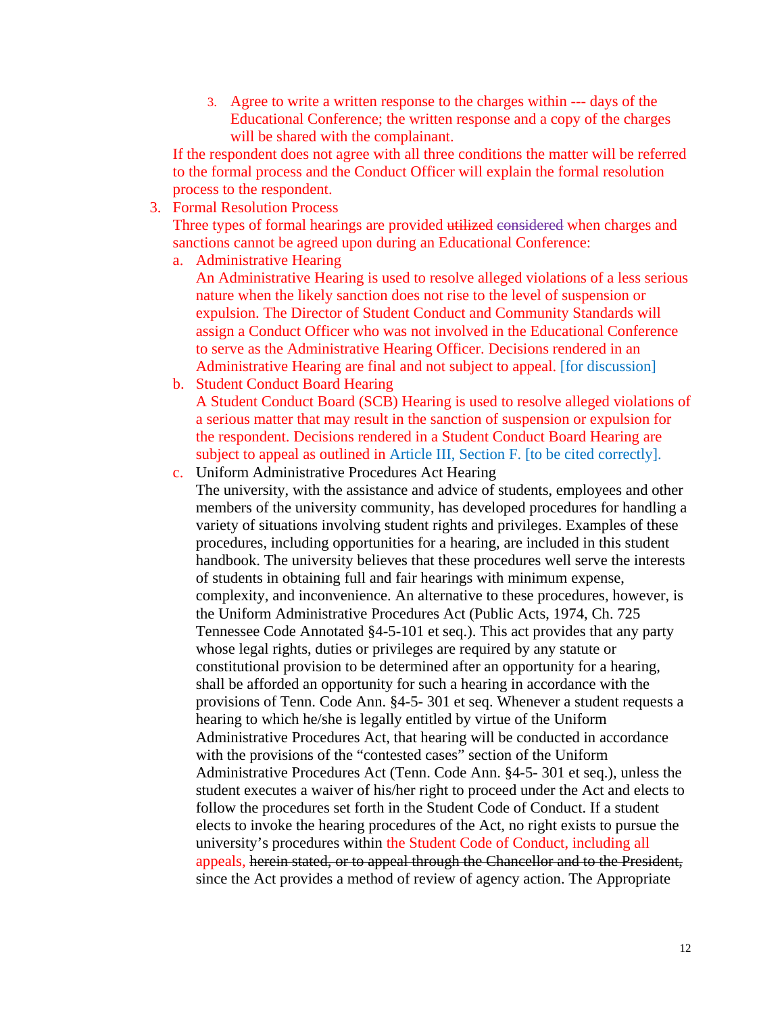3. Agree to write a written response to the charges within --- days of the Educational Conference; the written response and a copy of the charges will be shared with the complainant.

If the respondent does not agree with all three conditions the matter will be referred to the formal process and the Conduct Officer will explain the formal resolution process to the respondent.

3. Formal Resolution Process

Three types of formal hearings are provided utilized considered when charges and sanctions cannot be agreed upon during an Educational Conference:

a. Administrative Hearing

An Administrative Hearing is used to resolve alleged violations of a less serious nature when the likely sanction does not rise to the level of suspension or expulsion. The Director of Student Conduct and Community Standards will assign a Conduct Officer who was not involved in the Educational Conference to serve as the Administrative Hearing Officer. Decisions rendered in an Administrative Hearing are final and not subject to appeal. [for discussion]

b. Student Conduct Board Hearing

 A Student Conduct Board (SCB) Hearing is used to resolve alleged violations of a serious matter that may result in the sanction of suspension or expulsion for the respondent. Decisions rendered in a Student Conduct Board Hearing are subject to appeal as outlined in Article III, Section F. [to be cited correctly].

c. Uniform Administrative Procedures Act Hearing The university, with the assistance and advice of students, employees and other members of the university community, has developed procedures for handling a variety of situations involving student rights and privileges. Examples of these procedures, including opportunities for a hearing, are included in this student handbook. The university believes that these procedures well serve the interests of students in obtaining full and fair hearings with minimum expense, complexity, and inconvenience. An alternative to these procedures, however, is the Uniform Administrative Procedures Act (Public Acts, 1974, Ch. 725 Tennessee Code Annotated §4-5-101 et seq.). This act provides that any party whose legal rights, duties or privileges are required by any statute or constitutional provision to be determined after an opportunity for a hearing, shall be afforded an opportunity for such a hearing in accordance with the provisions of Tenn. Code Ann. §4-5- 301 et seq. Whenever a student requests a hearing to which he/she is legally entitled by virtue of the Uniform Administrative Procedures Act, that hearing will be conducted in accordance with the provisions of the "contested cases" section of the Uniform Administrative Procedures Act (Tenn. Code Ann. §4-5- 301 et seq.), unless the student executes a waiver of his/her right to proceed under the Act and elects to follow the procedures set forth in the Student Code of Conduct. If a student elects to invoke the hearing procedures of the Act, no right exists to pursue the university's procedures within the Student Code of Conduct, including all appeals, herein stated, or to appeal through the Chancellor and to the President, since the Act provides a method of review of agency action. The Appropriate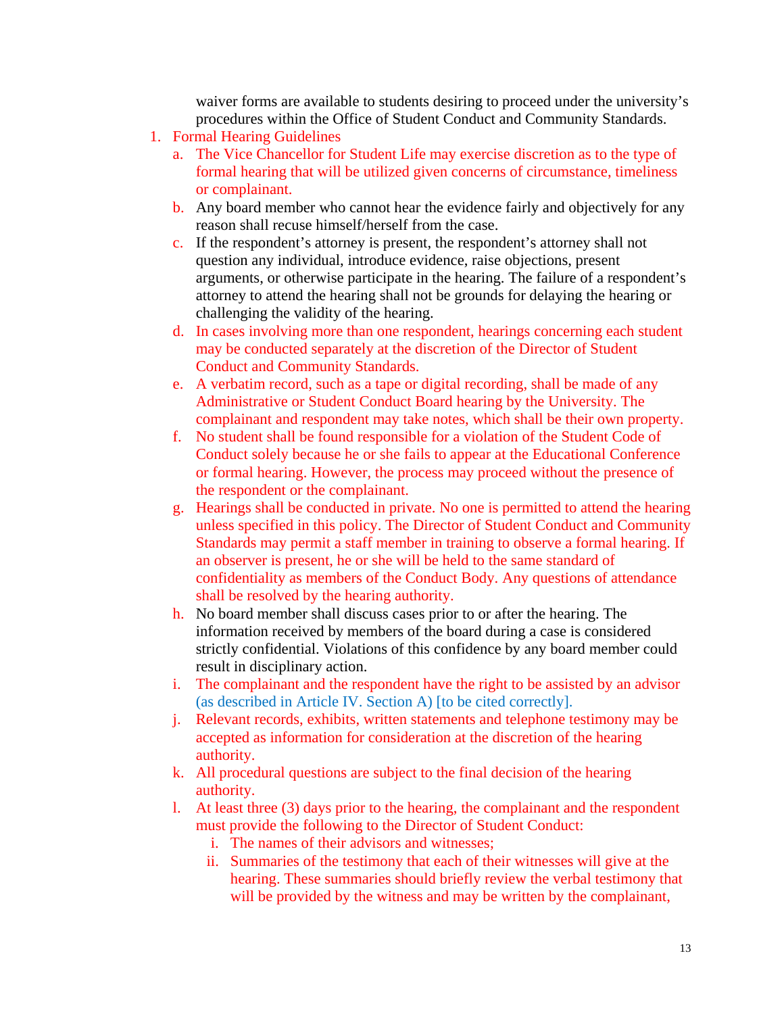waiver forms are available to students desiring to proceed under the university's procedures within the Office of Student Conduct and Community Standards.

- 1. Formal Hearing Guidelines
	- a. The Vice Chancellor for Student Life may exercise discretion as to the type of formal hearing that will be utilized given concerns of circumstance, timeliness or complainant.
	- b. Any board member who cannot hear the evidence fairly and objectively for any reason shall recuse himself/herself from the case.
	- c. If the respondent's attorney is present, the respondent's attorney shall not question any individual, introduce evidence, raise objections, present arguments, or otherwise participate in the hearing. The failure of a respondent's attorney to attend the hearing shall not be grounds for delaying the hearing or challenging the validity of the hearing.
	- d. In cases involving more than one respondent, hearings concerning each student may be conducted separately at the discretion of the Director of Student Conduct and Community Standards.
	- e. A verbatim record, such as a tape or digital recording, shall be made of any Administrative or Student Conduct Board hearing by the University. The complainant and respondent may take notes, which shall be their own property.
	- f. No student shall be found responsible for a violation of the Student Code of Conduct solely because he or she fails to appear at the Educational Conference or formal hearing. However, the process may proceed without the presence of the respondent or the complainant.
	- g. Hearings shall be conducted in private. No one is permitted to attend the hearing unless specified in this policy. The Director of Student Conduct and Community Standards may permit a staff member in training to observe a formal hearing. If an observer is present, he or she will be held to the same standard of confidentiality as members of the Conduct Body. Any questions of attendance shall be resolved by the hearing authority.
	- h. No board member shall discuss cases prior to or after the hearing. The information received by members of the board during a case is considered strictly confidential. Violations of this confidence by any board member could result in disciplinary action.
	- i. The complainant and the respondent have the right to be assisted by an advisor (as described in Article IV. Section A) [to be cited correctly].
	- j. Relevant records, exhibits, written statements and telephone testimony may be accepted as information for consideration at the discretion of the hearing authority.
	- k. All procedural questions are subject to the final decision of the hearing authority.
	- l. At least three (3) days prior to the hearing, the complainant and the respondent must provide the following to the Director of Student Conduct:
		- i. The names of their advisors and witnesses;
		- ii. Summaries of the testimony that each of their witnesses will give at the hearing. These summaries should briefly review the verbal testimony that will be provided by the witness and may be written by the complainant,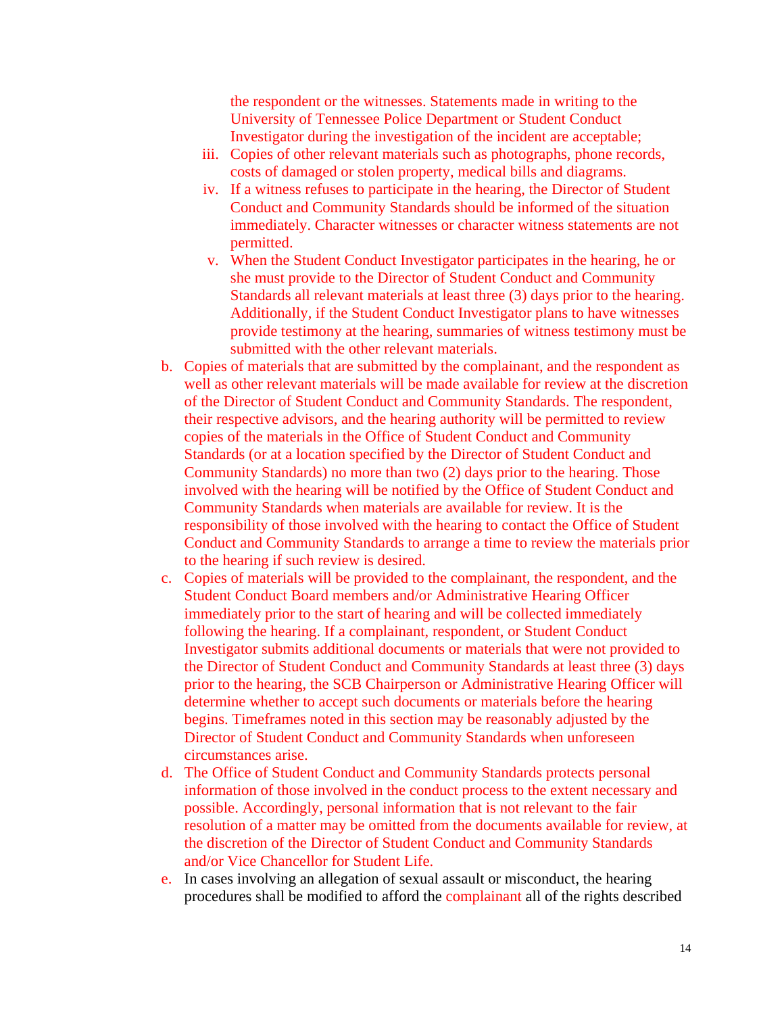the respondent or the witnesses. Statements made in writing to the University of Tennessee Police Department or Student Conduct Investigator during the investigation of the incident are acceptable;

- iii. Copies of other relevant materials such as photographs, phone records, costs of damaged or stolen property, medical bills and diagrams.
- iv. If a witness refuses to participate in the hearing, the Director of Student Conduct and Community Standards should be informed of the situation immediately. Character witnesses or character witness statements are not permitted.
- v. When the Student Conduct Investigator participates in the hearing, he or she must provide to the Director of Student Conduct and Community Standards all relevant materials at least three (3) days prior to the hearing. Additionally, if the Student Conduct Investigator plans to have witnesses provide testimony at the hearing, summaries of witness testimony must be submitted with the other relevant materials.
- b. Copies of materials that are submitted by the complainant, and the respondent as well as other relevant materials will be made available for review at the discretion of the Director of Student Conduct and Community Standards. The respondent, their respective advisors, and the hearing authority will be permitted to review copies of the materials in the Office of Student Conduct and Community Standards (or at a location specified by the Director of Student Conduct and Community Standards) no more than two (2) days prior to the hearing. Those involved with the hearing will be notified by the Office of Student Conduct and Community Standards when materials are available for review. It is the responsibility of those involved with the hearing to contact the Office of Student Conduct and Community Standards to arrange a time to review the materials prior to the hearing if such review is desired.
- c. Copies of materials will be provided to the complainant, the respondent, and the Student Conduct Board members and/or Administrative Hearing Officer immediately prior to the start of hearing and will be collected immediately following the hearing. If a complainant, respondent, or Student Conduct Investigator submits additional documents or materials that were not provided to the Director of Student Conduct and Community Standards at least three (3) days prior to the hearing, the SCB Chairperson or Administrative Hearing Officer will determine whether to accept such documents or materials before the hearing begins. Timeframes noted in this section may be reasonably adjusted by the Director of Student Conduct and Community Standards when unforeseen circumstances arise.
- d. The Office of Student Conduct and Community Standards protects personal information of those involved in the conduct process to the extent necessary and possible. Accordingly, personal information that is not relevant to the fair resolution of a matter may be omitted from the documents available for review, at the discretion of the Director of Student Conduct and Community Standards and/or Vice Chancellor for Student Life.
- e. In cases involving an allegation of sexual assault or misconduct, the hearing procedures shall be modified to afford the complainant all of the rights described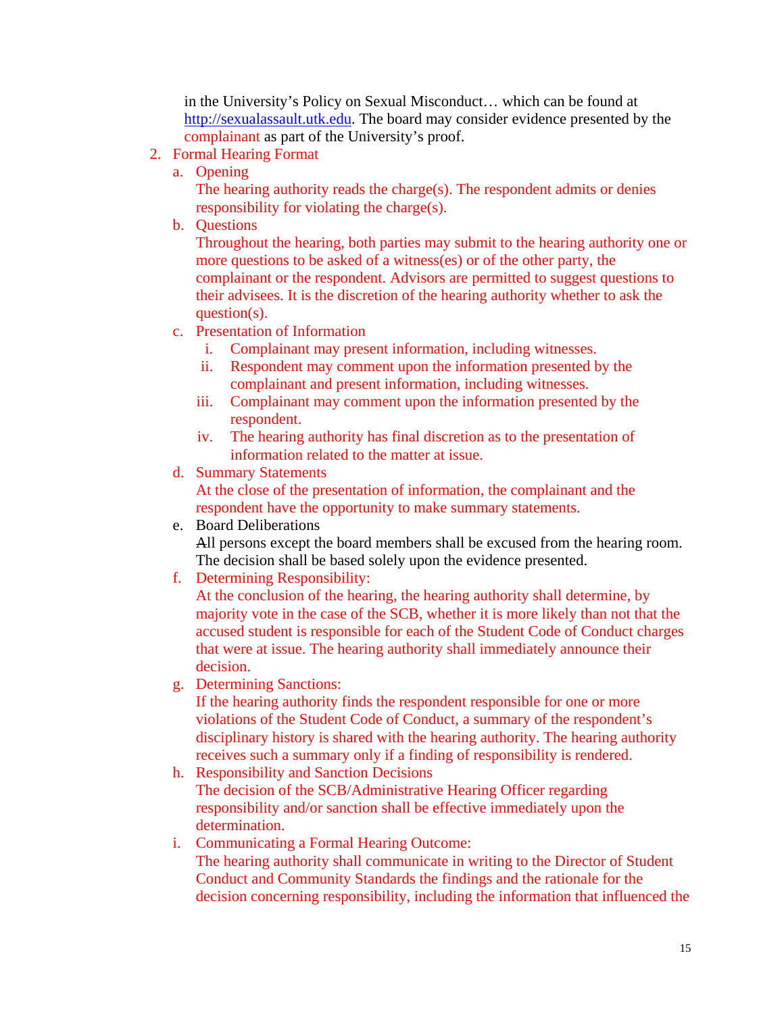in the University's Policy on Sexual Misconduct… which can be found at http://sexualassault.utk.edu. The board may consider evidence presented by the complainant as part of the University's proof.

- 2. Formal Hearing Format
	- a. Opening

The hearing authority reads the charge(s). The respondent admits or denies responsibility for violating the charge(s).

b. Questions

Throughout the hearing, both parties may submit to the hearing authority one or more questions to be asked of a witness(es) or of the other party, the complainant or the respondent. Advisors are permitted to suggest questions to their advisees. It is the discretion of the hearing authority whether to ask the question(s).

- c. Presentation of Information
	- i. Complainant may present information, including witnesses.
	- ii. Respondent may comment upon the information presented by the complainant and present information, including witnesses.
	- iii. Complainant may comment upon the information presented by the respondent.
	- iv. The hearing authority has final discretion as to the presentation of information related to the matter at issue.
- d. Summary Statements

At the close of the presentation of information, the complainant and the respondent have the opportunity to make summary statements.

e. Board Deliberations

All persons except the board members shall be excused from the hearing room. The decision shall be based solely upon the evidence presented.

f. Determining Responsibility:

At the conclusion of the hearing, the hearing authority shall determine, by majority vote in the case of the SCB, whether it is more likely than not that the accused student is responsible for each of the Student Code of Conduct charges that were at issue. The hearing authority shall immediately announce their decision.

g. Determining Sanctions:

If the hearing authority finds the respondent responsible for one or more violations of the Student Code of Conduct, a summary of the respondent's disciplinary history is shared with the hearing authority. The hearing authority receives such a summary only if a finding of responsibility is rendered.

- h. Responsibility and Sanction Decisions The decision of the SCB/Administrative Hearing Officer regarding responsibility and/or sanction shall be effective immediately upon the determination.
- i. Communicating a Formal Hearing Outcome: The hearing authority shall communicate in writing to the Director of Student Conduct and Community Standards the findings and the rationale for the decision concerning responsibility, including the information that influenced the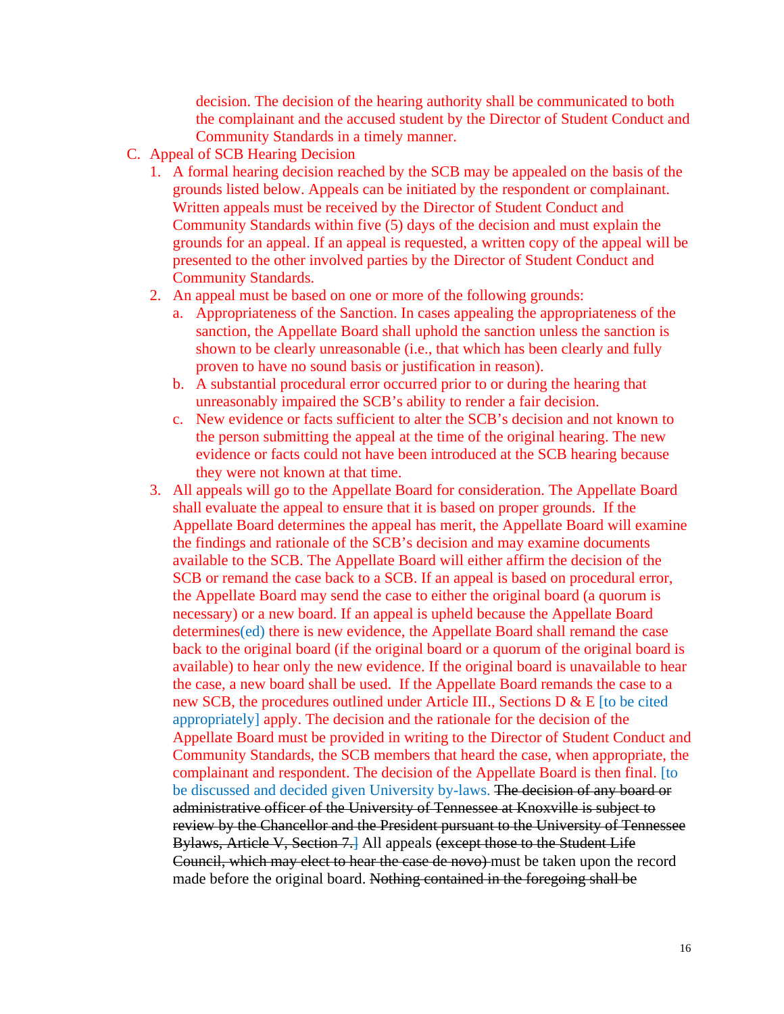decision. The decision of the hearing authority shall be communicated to both the complainant and the accused student by the Director of Student Conduct and Community Standards in a timely manner.

- C. Appeal of SCB Hearing Decision
	- 1. A formal hearing decision reached by the SCB may be appealed on the basis of the grounds listed below. Appeals can be initiated by the respondent or complainant. Written appeals must be received by the Director of Student Conduct and Community Standards within five (5) days of the decision and must explain the grounds for an appeal. If an appeal is requested, a written copy of the appeal will be presented to the other involved parties by the Director of Student Conduct and Community Standards.
	- 2. An appeal must be based on one or more of the following grounds:
		- a. Appropriateness of the Sanction. In cases appealing the appropriateness of the sanction, the Appellate Board shall uphold the sanction unless the sanction is shown to be clearly unreasonable (i.e., that which has been clearly and fully proven to have no sound basis or justification in reason).
		- b. A substantial procedural error occurred prior to or during the hearing that unreasonably impaired the SCB's ability to render a fair decision.
		- c. New evidence or facts sufficient to alter the SCB's decision and not known to the person submitting the appeal at the time of the original hearing. The new evidence or facts could not have been introduced at the SCB hearing because they were not known at that time.
	- 3. All appeals will go to the Appellate Board for consideration. The Appellate Board shall evaluate the appeal to ensure that it is based on proper grounds. If the Appellate Board determines the appeal has merit, the Appellate Board will examine the findings and rationale of the SCB's decision and may examine documents available to the SCB. The Appellate Board will either affirm the decision of the SCB or remand the case back to a SCB. If an appeal is based on procedural error, the Appellate Board may send the case to either the original board (a quorum is necessary) or a new board. If an appeal is upheld because the Appellate Board determines(ed) there is new evidence, the Appellate Board shall remand the case back to the original board (if the original board or a quorum of the original board is available) to hear only the new evidence. If the original board is unavailable to hear the case, a new board shall be used. If the Appellate Board remands the case to a new SCB, the procedures outlined under Article III., Sections D & E [to be cited appropriately] apply. The decision and the rationale for the decision of the Appellate Board must be provided in writing to the Director of Student Conduct and Community Standards, the SCB members that heard the case, when appropriate, the complainant and respondent. The decision of the Appellate Board is then final. [to be discussed and decided given University by-laws. The decision of any board or administrative officer of the University of Tennessee at Knoxville is subject to review by the Chancellor and the President pursuant to the University of Tennessee Bylaws, Article V, Section 7.] All appeals (except those to the Student Life Council, which may elect to hear the case de novo) must be taken upon the record made before the original board. Nothing contained in the foregoing shall be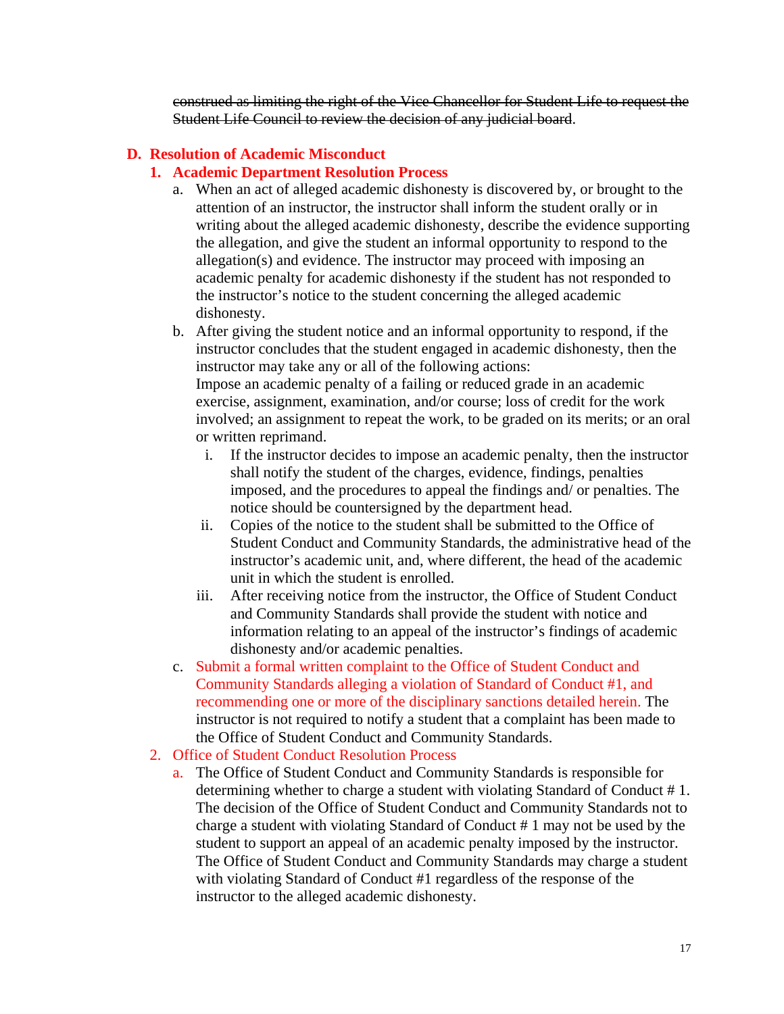construed as limiting the right of the Vice Chancellor for Student Life to request the Student Life Council to review the decision of any judicial board.

#### **D. Resolution of Academic Misconduct**

#### **1. Academic Department Resolution Process**

- a. When an act of alleged academic dishonesty is discovered by, or brought to the attention of an instructor, the instructor shall inform the student orally or in writing about the alleged academic dishonesty, describe the evidence supporting the allegation, and give the student an informal opportunity to respond to the allegation(s) and evidence. The instructor may proceed with imposing an academic penalty for academic dishonesty if the student has not responded to the instructor's notice to the student concerning the alleged academic dishonesty.
- b. After giving the student notice and an informal opportunity to respond, if the instructor concludes that the student engaged in academic dishonesty, then the instructor may take any or all of the following actions: Impose an academic penalty of a failing or reduced grade in an academic exercise, assignment, examination, and/or course; loss of credit for the work involved; an assignment to repeat the work, to be graded on its merits; or an oral or written reprimand.
	- i. If the instructor decides to impose an academic penalty, then the instructor shall notify the student of the charges, evidence, findings, penalties imposed, and the procedures to appeal the findings and/ or penalties. The notice should be countersigned by the department head.
	- ii. Copies of the notice to the student shall be submitted to the Office of Student Conduct and Community Standards, the administrative head of the instructor's academic unit, and, where different, the head of the academic unit in which the student is enrolled.
	- iii. After receiving notice from the instructor, the Office of Student Conduct and Community Standards shall provide the student with notice and information relating to an appeal of the instructor's findings of academic dishonesty and/or academic penalties.
- c. Submit a formal written complaint to the Office of Student Conduct and Community Standards alleging a violation of Standard of Conduct #1, and recommending one or more of the disciplinary sanctions detailed herein. The instructor is not required to notify a student that a complaint has been made to the Office of Student Conduct and Community Standards.
- 2. Office of Student Conduct Resolution Process
	- a. The Office of Student Conduct and Community Standards is responsible for determining whether to charge a student with violating Standard of Conduct # 1. The decision of the Office of Student Conduct and Community Standards not to charge a student with violating Standard of Conduct # 1 may not be used by the student to support an appeal of an academic penalty imposed by the instructor. The Office of Student Conduct and Community Standards may charge a student with violating Standard of Conduct #1 regardless of the response of the instructor to the alleged academic dishonesty.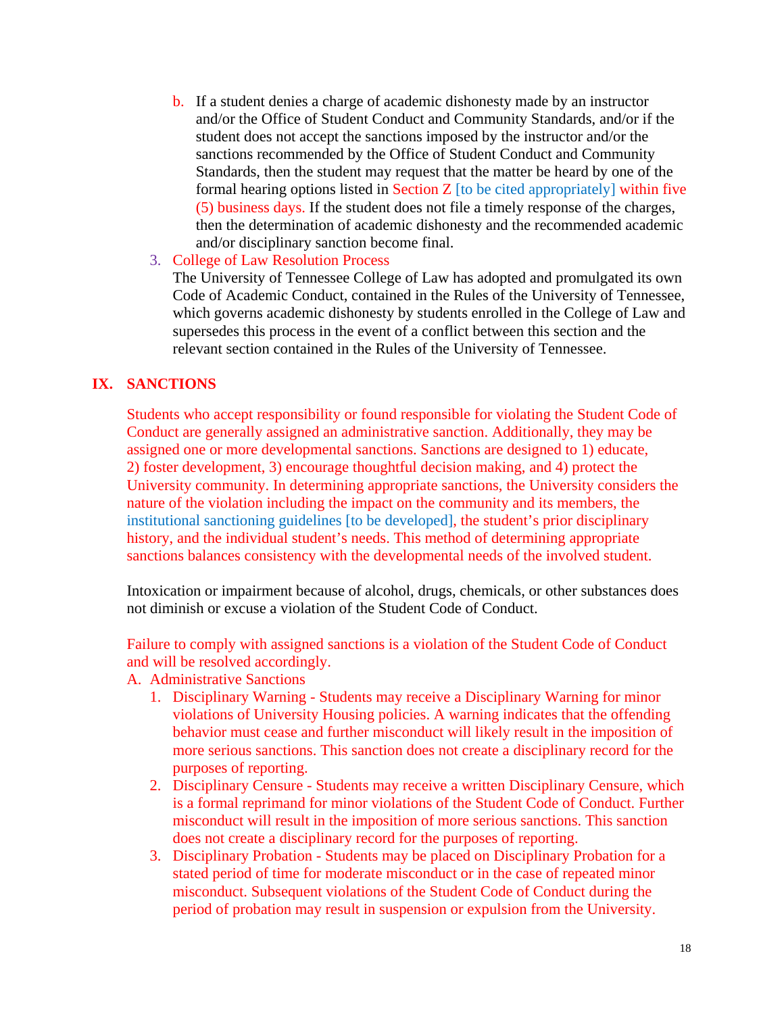b. If a student denies a charge of academic dishonesty made by an instructor and/or the Office of Student Conduct and Community Standards, and/or if the student does not accept the sanctions imposed by the instructor and/or the sanctions recommended by the Office of Student Conduct and Community Standards, then the student may request that the matter be heard by one of the formal hearing options listed in Section  $Z$  [to be cited appropriately] within five (5) business days. If the student does not file a timely response of the charges, then the determination of academic dishonesty and the recommended academic and/or disciplinary sanction become final.

#### 3. College of Law Resolution Process

The University of Tennessee College of Law has adopted and promulgated its own Code of Academic Conduct, contained in the Rules of the University of Tennessee, which governs academic dishonesty by students enrolled in the College of Law and supersedes this process in the event of a conflict between this section and the relevant section contained in the Rules of the University of Tennessee.

## **IX. SANCTIONS**

Students who accept responsibility or found responsible for violating the Student Code of Conduct are generally assigned an administrative sanction. Additionally, they may be assigned one or more developmental sanctions. Sanctions are designed to 1) educate, 2) foster development, 3) encourage thoughtful decision making, and 4) protect the University community. In determining appropriate sanctions, the University considers the nature of the violation including the impact on the community and its members, the institutional sanctioning guidelines [to be developed], the student's prior disciplinary history, and the individual student's needs. This method of determining appropriate sanctions balances consistency with the developmental needs of the involved student.

Intoxication or impairment because of alcohol, drugs, chemicals, or other substances does not diminish or excuse a violation of the Student Code of Conduct.

Failure to comply with assigned sanctions is a violation of the Student Code of Conduct and will be resolved accordingly.

- A. Administrative Sanctions
	- 1. Disciplinary Warning Students may receive a Disciplinary Warning for minor violations of University Housing policies. A warning indicates that the offending behavior must cease and further misconduct will likely result in the imposition of more serious sanctions. This sanction does not create a disciplinary record for the purposes of reporting.
	- 2. Disciplinary Censure Students may receive a written Disciplinary Censure, which is a formal reprimand for minor violations of the Student Code of Conduct. Further misconduct will result in the imposition of more serious sanctions. This sanction does not create a disciplinary record for the purposes of reporting.
	- 3. Disciplinary Probation Students may be placed on Disciplinary Probation for a stated period of time for moderate misconduct or in the case of repeated minor misconduct. Subsequent violations of the Student Code of Conduct during the period of probation may result in suspension or expulsion from the University.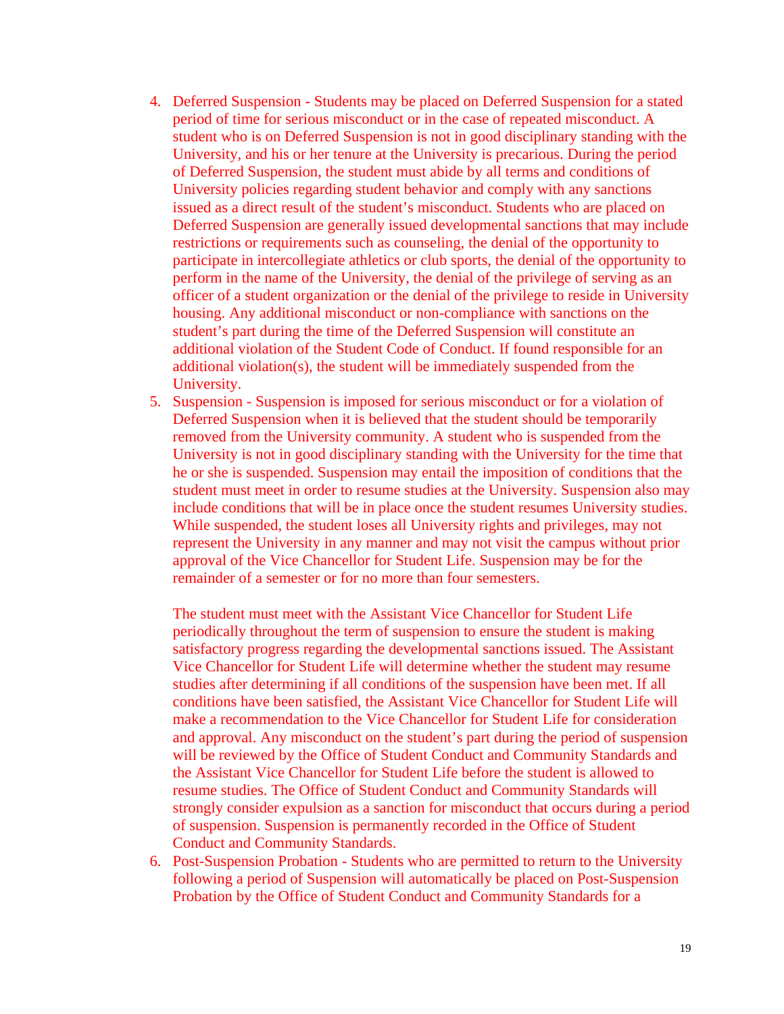- 4. Deferred Suspension Students may be placed on Deferred Suspension for a stated period of time for serious misconduct or in the case of repeated misconduct. A student who is on Deferred Suspension is not in good disciplinary standing with the University, and his or her tenure at the University is precarious. During the period of Deferred Suspension, the student must abide by all terms and conditions of University policies regarding student behavior and comply with any sanctions issued as a direct result of the student's misconduct. Students who are placed on Deferred Suspension are generally issued developmental sanctions that may include restrictions or requirements such as counseling, the denial of the opportunity to participate in intercollegiate athletics or club sports, the denial of the opportunity to perform in the name of the University, the denial of the privilege of serving as an officer of a student organization or the denial of the privilege to reside in University housing. Any additional misconduct or non-compliance with sanctions on the student's part during the time of the Deferred Suspension will constitute an additional violation of the Student Code of Conduct. If found responsible for an additional violation(s), the student will be immediately suspended from the University.
- 5. Suspension Suspension is imposed for serious misconduct or for a violation of Deferred Suspension when it is believed that the student should be temporarily removed from the University community. A student who is suspended from the University is not in good disciplinary standing with the University for the time that he or she is suspended. Suspension may entail the imposition of conditions that the student must meet in order to resume studies at the University. Suspension also may include conditions that will be in place once the student resumes University studies. While suspended, the student loses all University rights and privileges, may not represent the University in any manner and may not visit the campus without prior approval of the Vice Chancellor for Student Life. Suspension may be for the remainder of a semester or for no more than four semesters.

The student must meet with the Assistant Vice Chancellor for Student Life periodically throughout the term of suspension to ensure the student is making satisfactory progress regarding the developmental sanctions issued. The Assistant Vice Chancellor for Student Life will determine whether the student may resume studies after determining if all conditions of the suspension have been met. If all conditions have been satisfied, the Assistant Vice Chancellor for Student Life will make a recommendation to the Vice Chancellor for Student Life for consideration and approval. Any misconduct on the student's part during the period of suspension will be reviewed by the Office of Student Conduct and Community Standards and the Assistant Vice Chancellor for Student Life before the student is allowed to resume studies. The Office of Student Conduct and Community Standards will strongly consider expulsion as a sanction for misconduct that occurs during a period of suspension. Suspension is permanently recorded in the Office of Student Conduct and Community Standards.

6. Post-Suspension Probation - Students who are permitted to return to the University following a period of Suspension will automatically be placed on Post-Suspension Probation by the Office of Student Conduct and Community Standards for a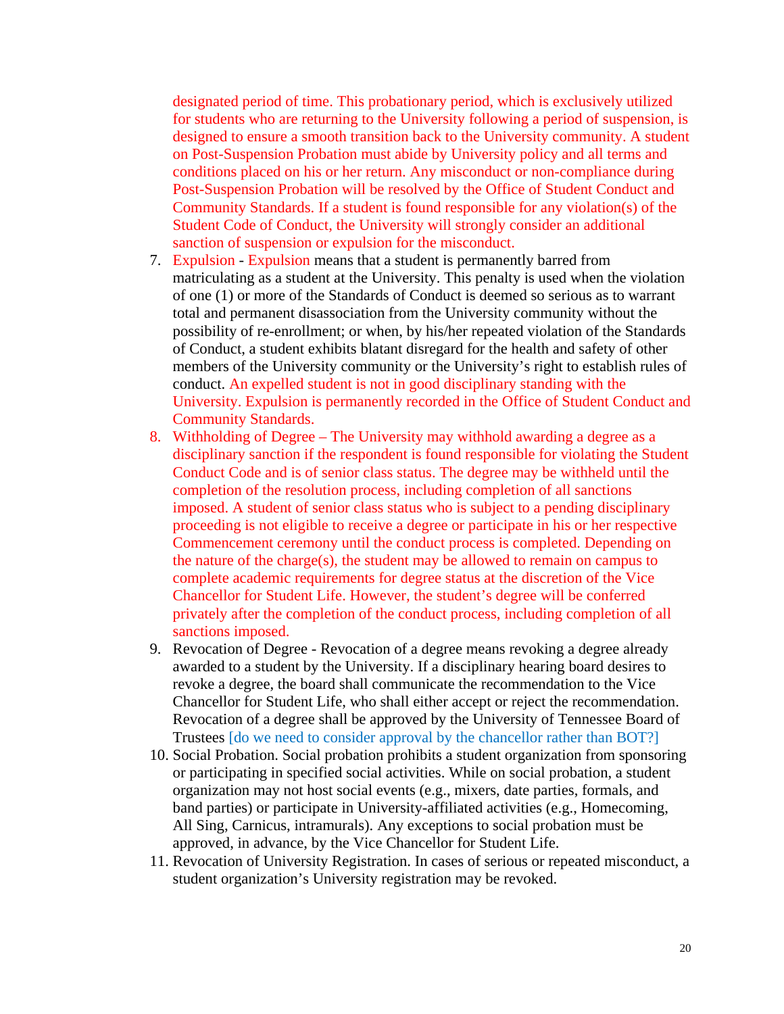designated period of time. This probationary period, which is exclusively utilized for students who are returning to the University following a period of suspension, is designed to ensure a smooth transition back to the University community. A student on Post-Suspension Probation must abide by University policy and all terms and conditions placed on his or her return. Any misconduct or non-compliance during Post-Suspension Probation will be resolved by the Office of Student Conduct and Community Standards. If a student is found responsible for any violation(s) of the Student Code of Conduct, the University will strongly consider an additional sanction of suspension or expulsion for the misconduct.

- 7. Expulsion Expulsion means that a student is permanently barred from matriculating as a student at the University. This penalty is used when the violation of one (1) or more of the Standards of Conduct is deemed so serious as to warrant total and permanent disassociation from the University community without the possibility of re-enrollment; or when, by his/her repeated violation of the Standards of Conduct, a student exhibits blatant disregard for the health and safety of other members of the University community or the University's right to establish rules of conduct. An expelled student is not in good disciplinary standing with the University. Expulsion is permanently recorded in the Office of Student Conduct and Community Standards.
- 8. Withholding of Degree The University may withhold awarding a degree as a disciplinary sanction if the respondent is found responsible for violating the Student Conduct Code and is of senior class status. The degree may be withheld until the completion of the resolution process, including completion of all sanctions imposed. A student of senior class status who is subject to a pending disciplinary proceeding is not eligible to receive a degree or participate in his or her respective Commencement ceremony until the conduct process is completed. Depending on the nature of the charge(s), the student may be allowed to remain on campus to complete academic requirements for degree status at the discretion of the Vice Chancellor for Student Life. However, the student's degree will be conferred privately after the completion of the conduct process, including completion of all sanctions imposed.
- 9. Revocation of Degree Revocation of a degree means revoking a degree already awarded to a student by the University. If a disciplinary hearing board desires to revoke a degree, the board shall communicate the recommendation to the Vice Chancellor for Student Life, who shall either accept or reject the recommendation. Revocation of a degree shall be approved by the University of Tennessee Board of Trustees [do we need to consider approval by the chancellor rather than BOT?]
- 10. Social Probation. Social probation prohibits a student organization from sponsoring or participating in specified social activities. While on social probation, a student organization may not host social events (e.g., mixers, date parties, formals, and band parties) or participate in University-affiliated activities (e.g., Homecoming, All Sing, Carnicus, intramurals). Any exceptions to social probation must be approved, in advance, by the Vice Chancellor for Student Life.
- 11. Revocation of University Registration. In cases of serious or repeated misconduct, a student organization's University registration may be revoked.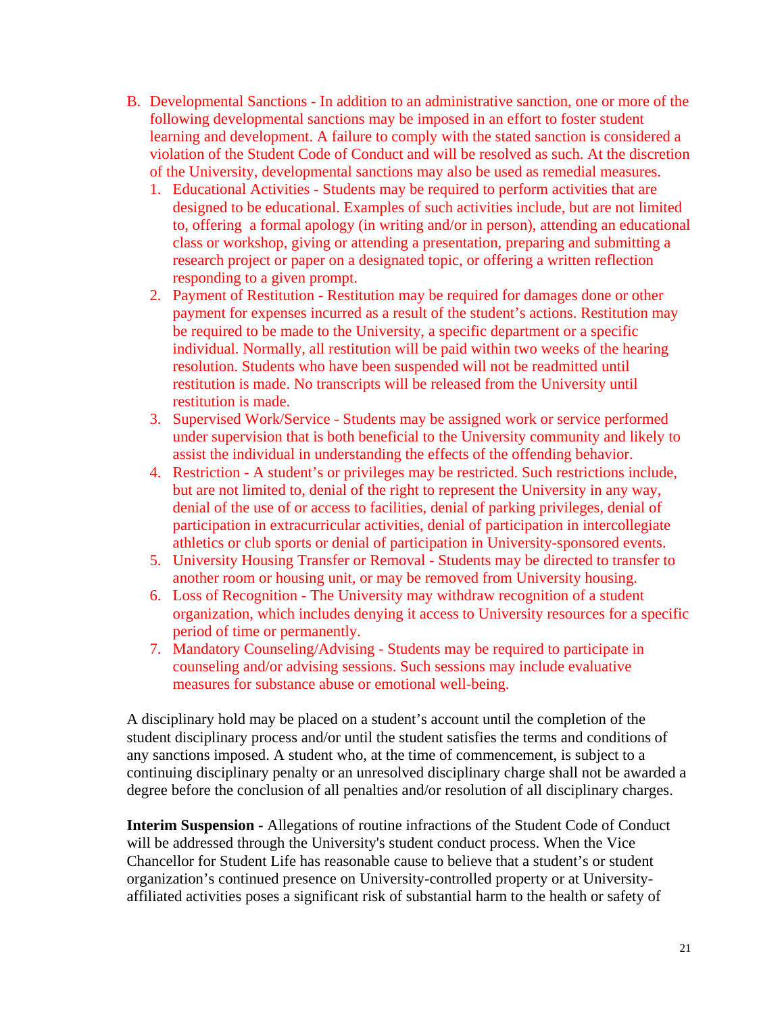- B. Developmental Sanctions In addition to an administrative sanction, one or more of the following developmental sanctions may be imposed in an effort to foster student learning and development. A failure to comply with the stated sanction is considered a violation of the Student Code of Conduct and will be resolved as such. At the discretion of the University, developmental sanctions may also be used as remedial measures.
	- 1. Educational Activities Students may be required to perform activities that are designed to be educational. Examples of such activities include, but are not limited to, offering a formal apology (in writing and/or in person), attending an educational class or workshop, giving or attending a presentation, preparing and submitting a research project or paper on a designated topic, or offering a written reflection responding to a given prompt.
	- 2. Payment of Restitution Restitution may be required for damages done or other payment for expenses incurred as a result of the student's actions. Restitution may be required to be made to the University, a specific department or a specific individual. Normally, all restitution will be paid within two weeks of the hearing resolution. Students who have been suspended will not be readmitted until restitution is made. No transcripts will be released from the University until restitution is made.
	- 3. Supervised Work/Service Students may be assigned work or service performed under supervision that is both beneficial to the University community and likely to assist the individual in understanding the effects of the offending behavior.
	- 4. Restriction A student's or privileges may be restricted. Such restrictions include, but are not limited to, denial of the right to represent the University in any way, denial of the use of or access to facilities, denial of parking privileges, denial of participation in extracurricular activities, denial of participation in intercollegiate athletics or club sports or denial of participation in University-sponsored events.
	- 5. University Housing Transfer or Removal Students may be directed to transfer to another room or housing unit, or may be removed from University housing.
	- 6. Loss of Recognition The University may withdraw recognition of a student organization, which includes denying it access to University resources for a specific period of time or permanently.
	- 7. Mandatory Counseling/Advising Students may be required to participate in counseling and/or advising sessions. Such sessions may include evaluative measures for substance abuse or emotional well-being.

A disciplinary hold may be placed on a student's account until the completion of the student disciplinary process and/or until the student satisfies the terms and conditions of any sanctions imposed. A student who, at the time of commencement, is subject to a continuing disciplinary penalty or an unresolved disciplinary charge shall not be awarded a degree before the conclusion of all penalties and/or resolution of all disciplinary charges.

**Interim Suspension -** Allegations of routine infractions of the Student Code of Conduct will be addressed through the University's student conduct process. When the Vice Chancellor for Student Life has reasonable cause to believe that a student's or student organization's continued presence on University-controlled property or at Universityaffiliated activities poses a significant risk of substantial harm to the health or safety of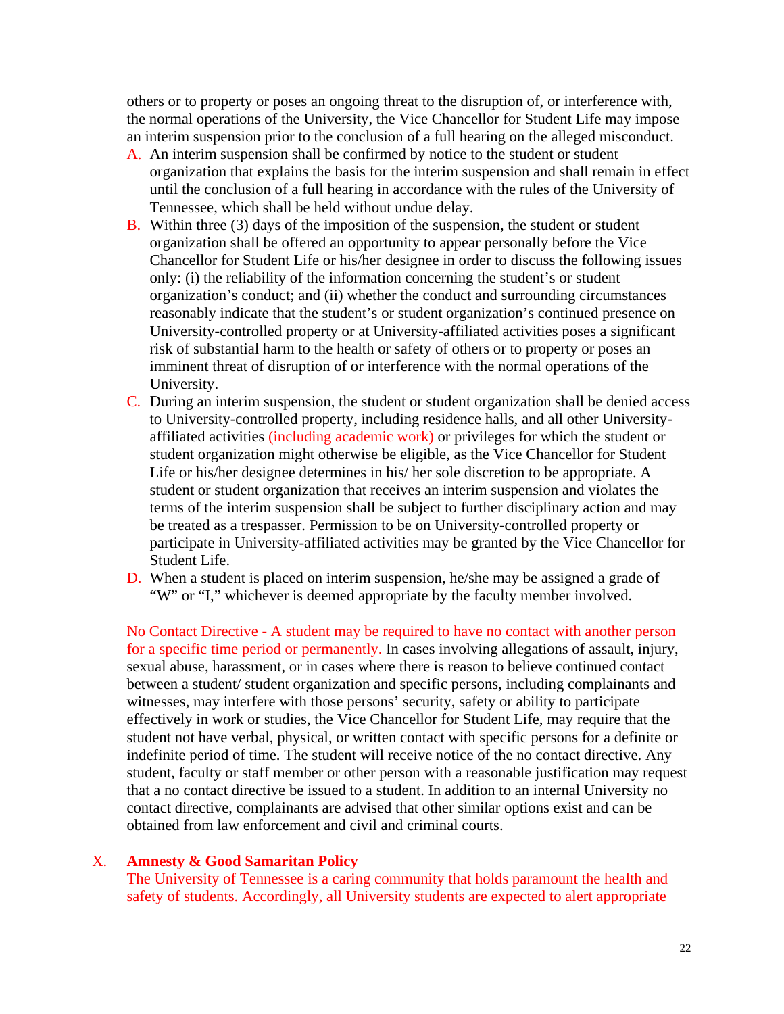others or to property or poses an ongoing threat to the disruption of, or interference with, the normal operations of the University, the Vice Chancellor for Student Life may impose an interim suspension prior to the conclusion of a full hearing on the alleged misconduct.

- A. An interim suspension shall be confirmed by notice to the student or student organization that explains the basis for the interim suspension and shall remain in effect until the conclusion of a full hearing in accordance with the rules of the University of Tennessee, which shall be held without undue delay.
- B. Within three (3) days of the imposition of the suspension, the student or student organization shall be offered an opportunity to appear personally before the Vice Chancellor for Student Life or his/her designee in order to discuss the following issues only: (i) the reliability of the information concerning the student's or student organization's conduct; and (ii) whether the conduct and surrounding circumstances reasonably indicate that the student's or student organization's continued presence on University-controlled property or at University-affiliated activities poses a significant risk of substantial harm to the health or safety of others or to property or poses an imminent threat of disruption of or interference with the normal operations of the University.
- C. During an interim suspension, the student or student organization shall be denied access to University-controlled property, including residence halls, and all other Universityaffiliated activities (including academic work) or privileges for which the student or student organization might otherwise be eligible, as the Vice Chancellor for Student Life or his/her designee determines in his/ her sole discretion to be appropriate. A student or student organization that receives an interim suspension and violates the terms of the interim suspension shall be subject to further disciplinary action and may be treated as a trespasser. Permission to be on University-controlled property or participate in University-affiliated activities may be granted by the Vice Chancellor for Student Life.
- D. When a student is placed on interim suspension, he/she may be assigned a grade of "W" or "I," whichever is deemed appropriate by the faculty member involved.

No Contact Directive - A student may be required to have no contact with another person for a specific time period or permanently. In cases involving allegations of assault, injury, sexual abuse, harassment, or in cases where there is reason to believe continued contact between a student/student organization and specific persons, including complainants and witnesses, may interfere with those persons' security, safety or ability to participate effectively in work or studies, the Vice Chancellor for Student Life, may require that the student not have verbal, physical, or written contact with specific persons for a definite or indefinite period of time. The student will receive notice of the no contact directive. Any student, faculty or staff member or other person with a reasonable justification may request that a no contact directive be issued to a student. In addition to an internal University no contact directive, complainants are advised that other similar options exist and can be obtained from law enforcement and civil and criminal courts.

#### X. **Amnesty & Good Samaritan Policy**

The University of Tennessee is a caring community that holds paramount the health and safety of students. Accordingly, all University students are expected to alert appropriate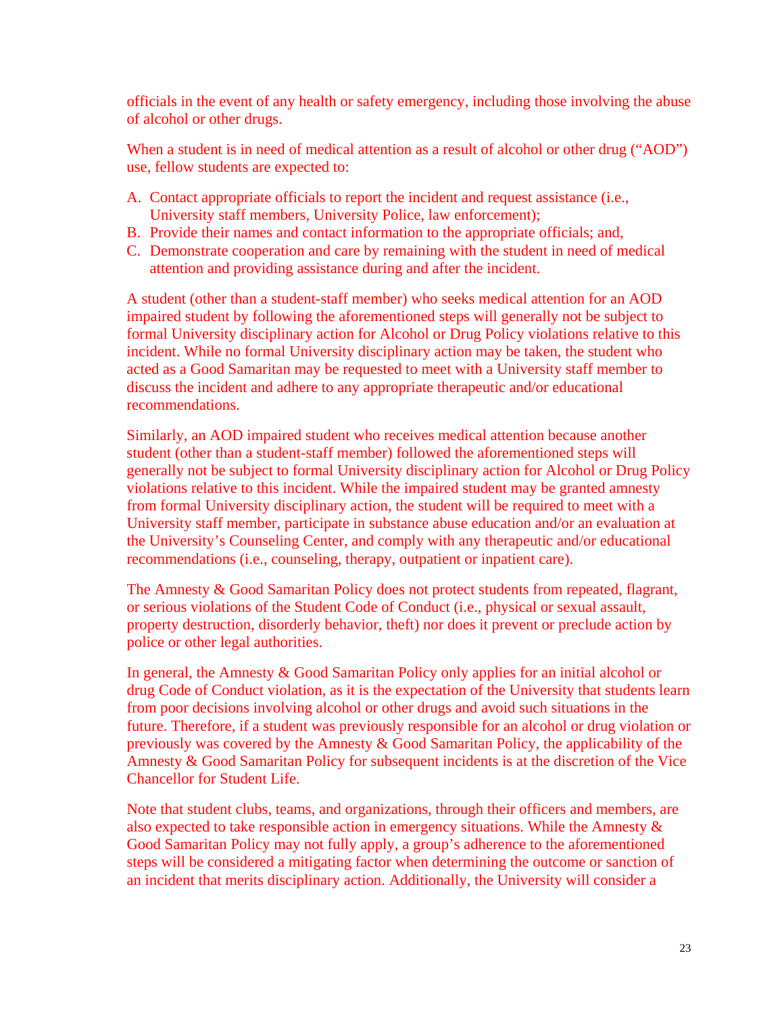officials in the event of any health or safety emergency, including those involving the abuse of alcohol or other drugs.

When a student is in need of medical attention as a result of alcohol or other drug ("AOD") use, fellow students are expected to:

- A. Contact appropriate officials to report the incident and request assistance (i.e., University staff members, University Police, law enforcement);
- B. Provide their names and contact information to the appropriate officials; and,
- C. Demonstrate cooperation and care by remaining with the student in need of medical attention and providing assistance during and after the incident.

A student (other than a student-staff member) who seeks medical attention for an AOD impaired student by following the aforementioned steps will generally not be subject to formal University disciplinary action for Alcohol or Drug Policy violations relative to this incident. While no formal University disciplinary action may be taken, the student who acted as a Good Samaritan may be requested to meet with a University staff member to discuss the incident and adhere to any appropriate therapeutic and/or educational recommendations.

Similarly, an AOD impaired student who receives medical attention because another student (other than a student-staff member) followed the aforementioned steps will generally not be subject to formal University disciplinary action for Alcohol or Drug Policy violations relative to this incident. While the impaired student may be granted amnesty from formal University disciplinary action, the student will be required to meet with a University staff member, participate in substance abuse education and/or an evaluation at the University's Counseling Center, and comply with any therapeutic and/or educational recommendations (i.e., counseling, therapy, outpatient or inpatient care).

The Amnesty & Good Samaritan Policy does not protect students from repeated, flagrant, or serious violations of the Student Code of Conduct (i.e., physical or sexual assault, property destruction, disorderly behavior, theft) nor does it prevent or preclude action by police or other legal authorities.

In general, the Amnesty & Good Samaritan Policy only applies for an initial alcohol or drug Code of Conduct violation, as it is the expectation of the University that students learn from poor decisions involving alcohol or other drugs and avoid such situations in the future. Therefore, if a student was previously responsible for an alcohol or drug violation or previously was covered by the Amnesty & Good Samaritan Policy, the applicability of the Amnesty & Good Samaritan Policy for subsequent incidents is at the discretion of the Vice Chancellor for Student Life.

Note that student clubs, teams, and organizations, through their officers and members, are also expected to take responsible action in emergency situations. While the Amnesty & Good Samaritan Policy may not fully apply, a group's adherence to the aforementioned steps will be considered a mitigating factor when determining the outcome or sanction of an incident that merits disciplinary action. Additionally, the University will consider a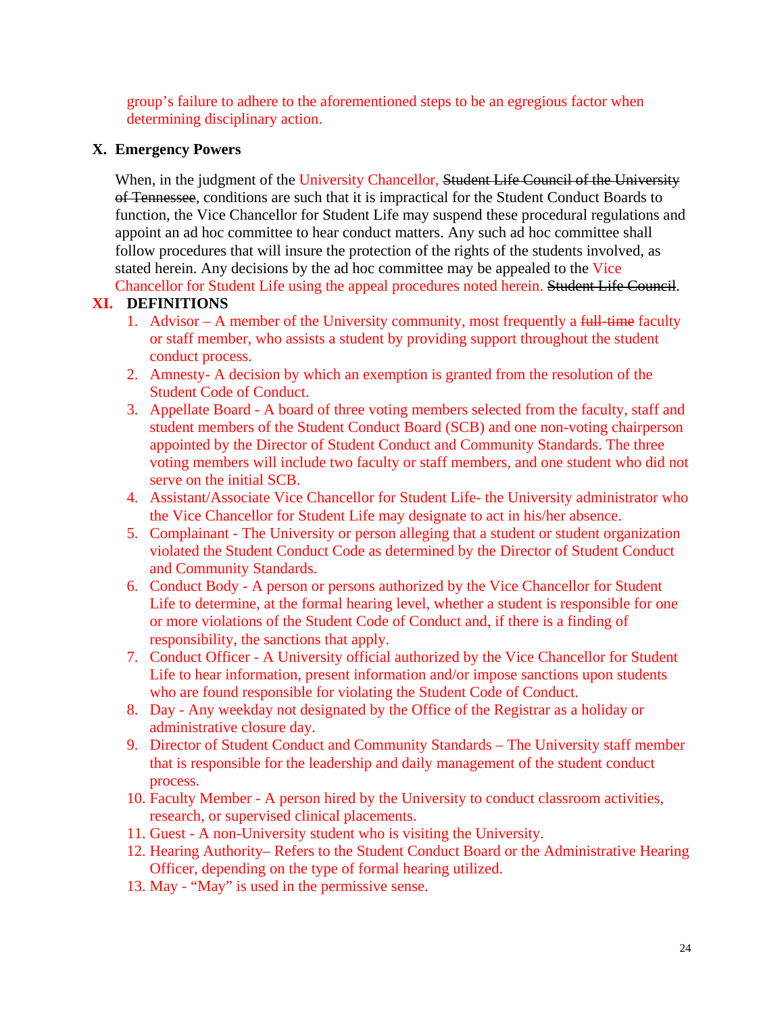group's failure to adhere to the aforementioned steps to be an egregious factor when determining disciplinary action.

## **X. Emergency Powers**

When, in the judgment of the University Chancellor, Student Life Council of the University of Tennessee, conditions are such that it is impractical for the Student Conduct Boards to function, the Vice Chancellor for Student Life may suspend these procedural regulations and appoint an ad hoc committee to hear conduct matters. Any such ad hoc committee shall follow procedures that will insure the protection of the rights of the students involved, as stated herein. Any decisions by the ad hoc committee may be appealed to the Vice Chancellor for Student Life using the appeal procedures noted herein. Student Life Council.

## **XI. DEFINITIONS**

- 1. Advisor A member of the University community, most frequently a  $f_{\text{t}}$  full-time faculty or staff member, who assists a student by providing support throughout the student conduct process.
- 2. Amnesty- A decision by which an exemption is granted from the resolution of the Student Code of Conduct.
- 3. Appellate Board A board of three voting members selected from the faculty, staff and student members of the Student Conduct Board (SCB) and one non-voting chairperson appointed by the Director of Student Conduct and Community Standards. The three voting members will include two faculty or staff members, and one student who did not serve on the initial SCB.
- 4. Assistant/Associate Vice Chancellor for Student Life- the University administrator who the Vice Chancellor for Student Life may designate to act in his/her absence.
- 5. Complainant The University or person alleging that a student or student organization violated the Student Conduct Code as determined by the Director of Student Conduct and Community Standards.
- 6. Conduct Body A person or persons authorized by the Vice Chancellor for Student Life to determine, at the formal hearing level, whether a student is responsible for one or more violations of the Student Code of Conduct and, if there is a finding of responsibility, the sanctions that apply.
- 7. Conduct Officer A University official authorized by the Vice Chancellor for Student Life to hear information, present information and/or impose sanctions upon students who are found responsible for violating the Student Code of Conduct.
- 8. Day Any weekday not designated by the Office of the Registrar as a holiday or administrative closure day.
- 9. Director of Student Conduct and Community Standards The University staff member that is responsible for the leadership and daily management of the student conduct process.
- 10. Faculty Member A person hired by the University to conduct classroom activities, research, or supervised clinical placements.
- 11. Guest A non-University student who is visiting the University.
- 12. Hearing Authority– Refers to the Student Conduct Board or the Administrative Hearing Officer, depending on the type of formal hearing utilized.
- 13. May "May" is used in the permissive sense.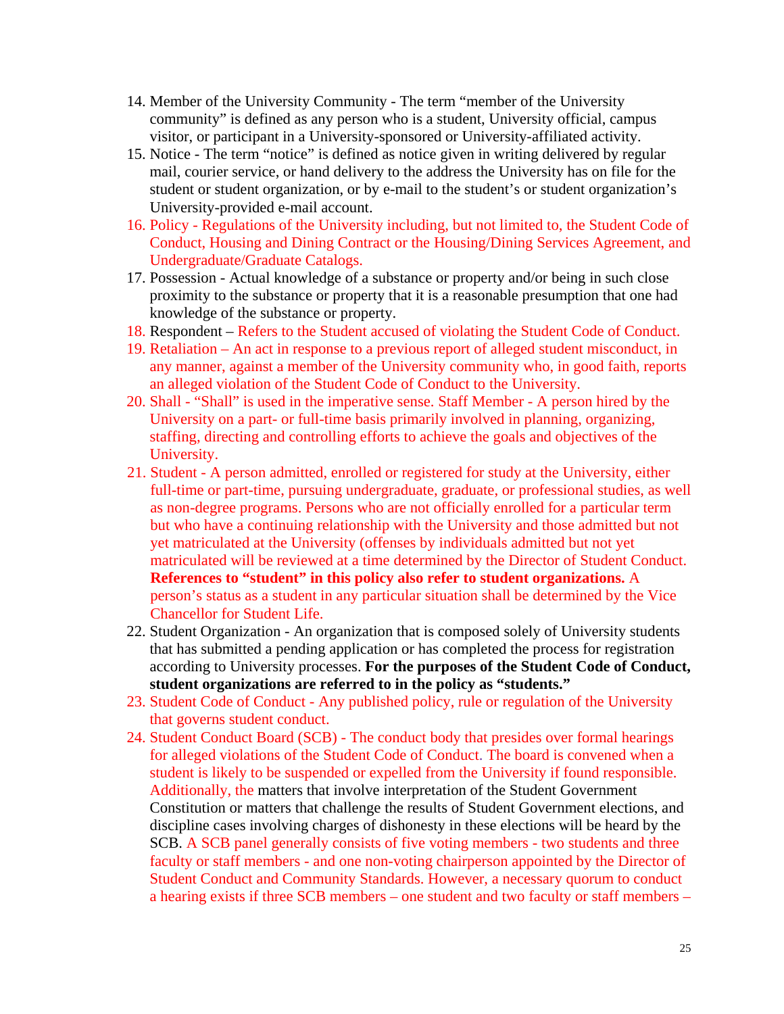- 14. Member of the University Community The term "member of the University community" is defined as any person who is a student, University official, campus visitor, or participant in a University-sponsored or University-affiliated activity.
- 15. Notice The term "notice" is defined as notice given in writing delivered by regular mail, courier service, or hand delivery to the address the University has on file for the student or student organization, or by e-mail to the student's or student organization's University-provided e-mail account.
- 16. Policy Regulations of the University including, but not limited to, the Student Code of Conduct, Housing and Dining Contract or the Housing/Dining Services Agreement, and Undergraduate/Graduate Catalogs.
- 17. Possession Actual knowledge of a substance or property and/or being in such close proximity to the substance or property that it is a reasonable presumption that one had knowledge of the substance or property.
- 18. Respondent Refers to the Student accused of violating the Student Code of Conduct.
- 19. Retaliation An act in response to a previous report of alleged student misconduct, in any manner, against a member of the University community who, in good faith, reports an alleged violation of the Student Code of Conduct to the University.
- 20. Shall "Shall" is used in the imperative sense. Staff Member A person hired by the University on a part- or full-time basis primarily involved in planning, organizing, staffing, directing and controlling efforts to achieve the goals and objectives of the University.
- 21. Student A person admitted, enrolled or registered for study at the University, either full-time or part-time, pursuing undergraduate, graduate, or professional studies, as well as non-degree programs. Persons who are not officially enrolled for a particular term but who have a continuing relationship with the University and those admitted but not yet matriculated at the University (offenses by individuals admitted but not yet matriculated will be reviewed at a time determined by the Director of Student Conduct. **References to "student" in this policy also refer to student organizations.** A person's status as a student in any particular situation shall be determined by the Vice Chancellor for Student Life.
- 22. Student Organization An organization that is composed solely of University students that has submitted a pending application or has completed the process for registration according to University processes. **For the purposes of the Student Code of Conduct, student organizations are referred to in the policy as "students."**
- 23. Student Code of Conduct Any published policy, rule or regulation of the University that governs student conduct.
- 24. Student Conduct Board (SCB) The conduct body that presides over formal hearings for alleged violations of the Student Code of Conduct. The board is convened when a student is likely to be suspended or expelled from the University if found responsible. Additionally, the matters that involve interpretation of the Student Government Constitution or matters that challenge the results of Student Government elections, and discipline cases involving charges of dishonesty in these elections will be heard by the SCB. A SCB panel generally consists of five voting members - two students and three faculty or staff members - and one non-voting chairperson appointed by the Director of Student Conduct and Community Standards. However, a necessary quorum to conduct a hearing exists if three SCB members – one student and two faculty or staff members –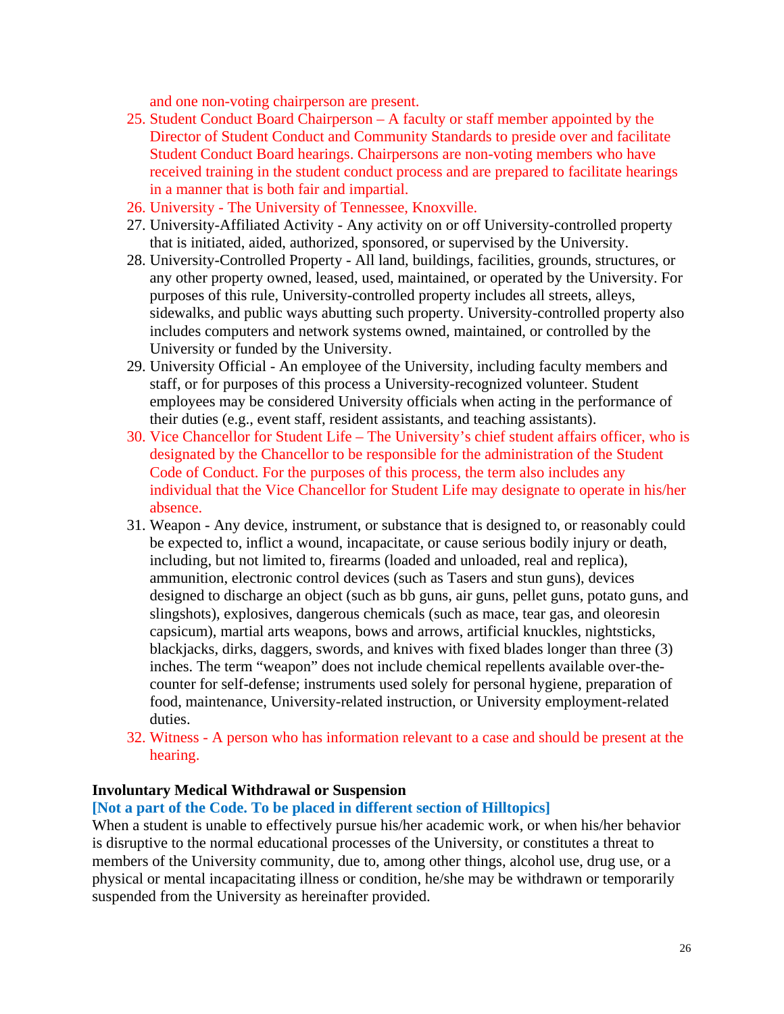and one non-voting chairperson are present.

- 25. Student Conduct Board Chairperson A faculty or staff member appointed by the Director of Student Conduct and Community Standards to preside over and facilitate Student Conduct Board hearings. Chairpersons are non-voting members who have received training in the student conduct process and are prepared to facilitate hearings in a manner that is both fair and impartial.
- 26. University The University of Tennessee, Knoxville.
- 27. University-Affiliated Activity Any activity on or off University-controlled property that is initiated, aided, authorized, sponsored, or supervised by the University.
- 28. University-Controlled Property All land, buildings, facilities, grounds, structures, or any other property owned, leased, used, maintained, or operated by the University. For purposes of this rule, University-controlled property includes all streets, alleys, sidewalks, and public ways abutting such property. University-controlled property also includes computers and network systems owned, maintained, or controlled by the University or funded by the University.
- 29. University Official An employee of the University, including faculty members and staff, or for purposes of this process a University-recognized volunteer. Student employees may be considered University officials when acting in the performance of their duties (e.g., event staff, resident assistants, and teaching assistants).
- 30. Vice Chancellor for Student Life The University's chief student affairs officer, who is designated by the Chancellor to be responsible for the administration of the Student Code of Conduct. For the purposes of this process, the term also includes any individual that the Vice Chancellor for Student Life may designate to operate in his/her absence.
- 31. Weapon Any device, instrument, or substance that is designed to, or reasonably could be expected to, inflict a wound, incapacitate, or cause serious bodily injury or death, including, but not limited to, firearms (loaded and unloaded, real and replica), ammunition, electronic control devices (such as Tasers and stun guns), devices designed to discharge an object (such as bb guns, air guns, pellet guns, potato guns, and slingshots), explosives, dangerous chemicals (such as mace, tear gas, and oleoresin capsicum), martial arts weapons, bows and arrows, artificial knuckles, nightsticks, blackjacks, dirks, daggers, swords, and knives with fixed blades longer than three (3) inches. The term "weapon" does not include chemical repellents available over-thecounter for self-defense; instruments used solely for personal hygiene, preparation of food, maintenance, University-related instruction, or University employment-related duties.
- 32. Witness A person who has information relevant to a case and should be present at the hearing.

#### **Involuntary Medical Withdrawal or Suspension**

#### **[Not a part of the Code. To be placed in different section of Hilltopics]**

When a student is unable to effectively pursue his/her academic work, or when his/her behavior is disruptive to the normal educational processes of the University, or constitutes a threat to members of the University community, due to, among other things, alcohol use, drug use, or a physical or mental incapacitating illness or condition, he/she may be withdrawn or temporarily suspended from the University as hereinafter provided.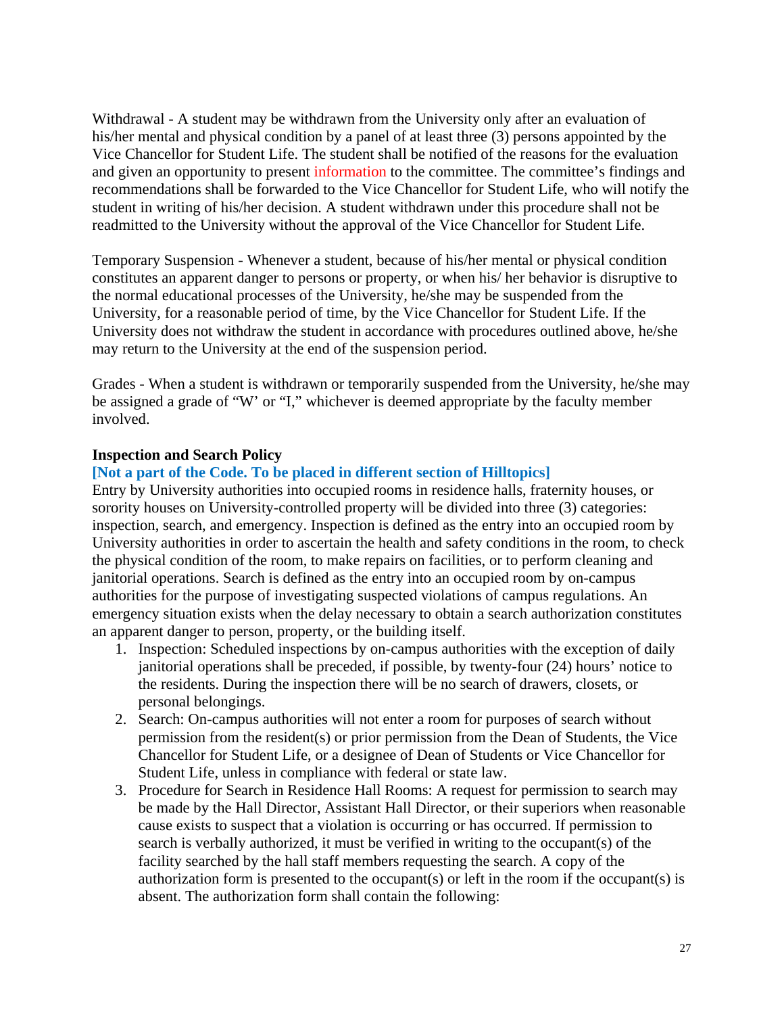Withdrawal - A student may be withdrawn from the University only after an evaluation of his/her mental and physical condition by a panel of at least three (3) persons appointed by the Vice Chancellor for Student Life. The student shall be notified of the reasons for the evaluation and given an opportunity to present information to the committee. The committee's findings and recommendations shall be forwarded to the Vice Chancellor for Student Life, who will notify the student in writing of his/her decision. A student withdrawn under this procedure shall not be readmitted to the University without the approval of the Vice Chancellor for Student Life.

Temporary Suspension - Whenever a student, because of his/her mental or physical condition constitutes an apparent danger to persons or property, or when his/ her behavior is disruptive to the normal educational processes of the University, he/she may be suspended from the University, for a reasonable period of time, by the Vice Chancellor for Student Life. If the University does not withdraw the student in accordance with procedures outlined above, he/she may return to the University at the end of the suspension period.

Grades - When a student is withdrawn or temporarily suspended from the University, he/she may be assigned a grade of "W' or "I," whichever is deemed appropriate by the faculty member involved.

#### **Inspection and Search Policy**

## **[Not a part of the Code. To be placed in different section of Hilltopics]**

Entry by University authorities into occupied rooms in residence halls, fraternity houses, or sorority houses on University-controlled property will be divided into three (3) categories: inspection, search, and emergency. Inspection is defined as the entry into an occupied room by University authorities in order to ascertain the health and safety conditions in the room, to check the physical condition of the room, to make repairs on facilities, or to perform cleaning and janitorial operations. Search is defined as the entry into an occupied room by on-campus authorities for the purpose of investigating suspected violations of campus regulations. An emergency situation exists when the delay necessary to obtain a search authorization constitutes an apparent danger to person, property, or the building itself.

- 1. Inspection: Scheduled inspections by on-campus authorities with the exception of daily janitorial operations shall be preceded, if possible, by twenty-four (24) hours' notice to the residents. During the inspection there will be no search of drawers, closets, or personal belongings.
- 2. Search: On-campus authorities will not enter a room for purposes of search without permission from the resident(s) or prior permission from the Dean of Students, the Vice Chancellor for Student Life, or a designee of Dean of Students or Vice Chancellor for Student Life, unless in compliance with federal or state law.
- 3. Procedure for Search in Residence Hall Rooms: A request for permission to search may be made by the Hall Director, Assistant Hall Director, or their superiors when reasonable cause exists to suspect that a violation is occurring or has occurred. If permission to search is verbally authorized, it must be verified in writing to the occupant(s) of the facility searched by the hall staff members requesting the search. A copy of the authorization form is presented to the occupant(s) or left in the room if the occupant(s) is absent. The authorization form shall contain the following: